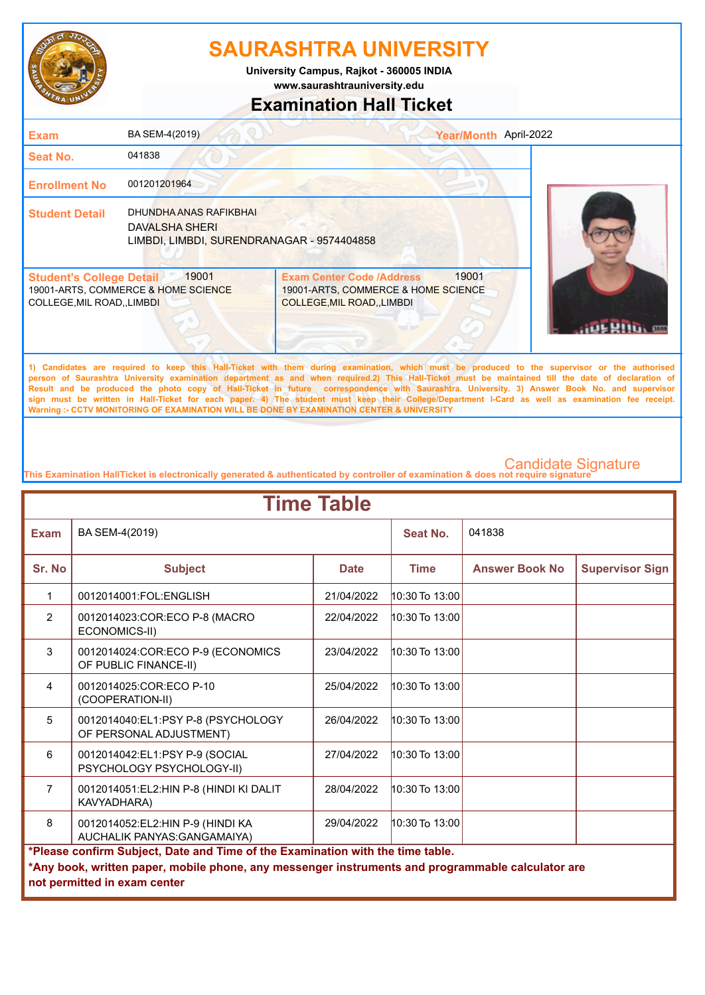

**www.saurashtrauniversity.edu University Campus, Rajkot - 360005 INDIA**

### **Examination Hall Ticket**

| <b>Exam</b>                                                    | BA SEM-4(2019)                                                                         | Year/Month April-2022                                                                                                |  |
|----------------------------------------------------------------|----------------------------------------------------------------------------------------|----------------------------------------------------------------------------------------------------------------------|--|
| <b>Seat No.</b>                                                | 041838                                                                                 |                                                                                                                      |  |
| <b>Enrollment No</b>                                           | 001201201964                                                                           |                                                                                                                      |  |
| <b>Student Detail</b>                                          | DHUNDHA ANAS RAFIKBHAI<br>DAVALSHA SHERI<br>LIMBDI, LIMBDI, SURENDRANAGAR - 9574404858 |                                                                                                                      |  |
| <b>Student's College Detail</b><br>COLLEGE, MIL ROAD, , LIMBDI | 19001<br>19001-ARTS, COMMERCE & HOME SCIENCE                                           | 19001<br><b>Exam Center Code /Address</b><br>19001-ARTS, COMMERCE & HOME SCIENCE<br><b>COLLEGE, MIL ROAD, LIMBDI</b> |  |
|                                                                |                                                                                        |                                                                                                                      |  |

**1) Candidates are required to keep this Hall-Ticket with them during examination, which must be produced to the supervisor or the authorised person of Saurashtra University examination department as and when required.2) This Hall-Ticket must be maintained till the date of declaration of Result and be produced the photo copy of Hall-Ticket in future correspondence with Saurashtra. University. 3) Answer Book No. and supervisor sign must be written in Hall-Ticket for each paper. 4) The student must keep their College/Department I-Card as well as examination fee receipt. Warning :- CCTV MONITORING OF EXAMINATION WILL BE DONE BY EXAMINATION CENTER & UNIVERSITY**

| <b>Time Table</b> |                                                                                                                                                                                                                     |             |                    |                       |                        |  |
|-------------------|---------------------------------------------------------------------------------------------------------------------------------------------------------------------------------------------------------------------|-------------|--------------------|-----------------------|------------------------|--|
| <b>Exam</b>       | BA SEM-4(2019)                                                                                                                                                                                                      |             | Seat No.           | 041838                |                        |  |
| Sr. No            | <b>Subject</b>                                                                                                                                                                                                      | <b>Date</b> | <b>Time</b>        | <b>Answer Book No</b> | <b>Supervisor Sign</b> |  |
| 1                 | 0012014001:FOL:ENGLISH                                                                                                                                                                                              | 21/04/2022  | 10:30 To 13:00     |                       |                        |  |
| $\overline{2}$    | 0012014023:COR:ECO P-8 (MACRO<br>ECONOMICS-II)                                                                                                                                                                      | 22/04/2022  | $10:30$ To $13:00$ |                       |                        |  |
| 3                 | 0012014024:COR:ECO P-9 (ECONOMICS<br>OF PUBLIC FINANCE-II)                                                                                                                                                          | 23/04/2022  | $10:30$ To $13:00$ |                       |                        |  |
| 4                 | 0012014025:COR:ECO P-10<br>(COOPERATION-II)                                                                                                                                                                         | 25/04/2022  | $10:30$ To $13:00$ |                       |                        |  |
| 5                 | 0012014040:EL1:PSY P-8 (PSYCHOLOGY<br>OF PERSONAL ADJUSTMENT)                                                                                                                                                       | 26/04/2022  | 10:30 To 13:00     |                       |                        |  |
| 6                 | 0012014042:EL1:PSY P-9 (SOCIAL<br>PSYCHOLOGY PSYCHOLOGY-II)                                                                                                                                                         | 27/04/2022  | $10:30$ To $13:00$ |                       |                        |  |
| $\overline{7}$    | 0012014051:EL2:HIN P-8 (HINDI KI DALIT<br>KAVYADHARA)                                                                                                                                                               | 28/04/2022  | $10:30$ To $13:00$ |                       |                        |  |
| 8                 | 0012014052:EL2:HIN P-9 (HINDI KA<br>AUCHALIK PANYAS: GANGAMAIYA)                                                                                                                                                    | 29/04/2022  | $10:30$ To $13:00$ |                       |                        |  |
|                   | *Please confirm Subject, Date and Time of the Examination with the time table.<br>*Any book, written paper, mobile phone, any messenger instruments and programmable calculator are<br>not permitted in exam center |             |                    |                       |                        |  |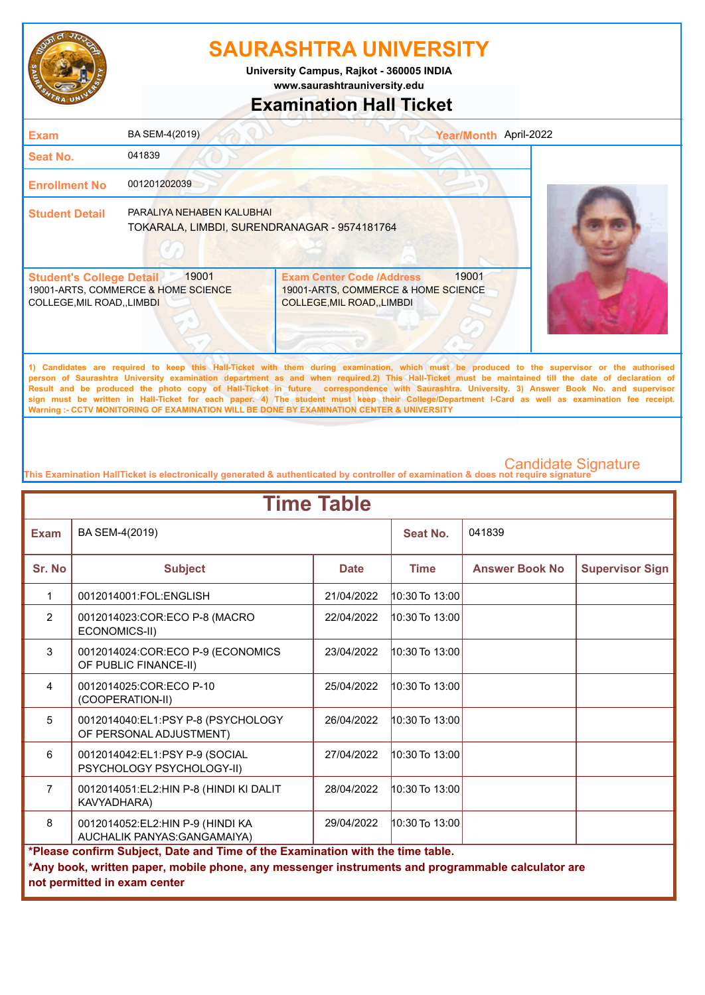

**www.saurashtrauniversity.edu University Campus, Rajkot - 360005 INDIA**

### **Examination Hall Ticket**

| <b>Exam</b>                                                    | BA SEM-4(2019)                                                            |                                                                                                             | Year/Month April-2022 |  |
|----------------------------------------------------------------|---------------------------------------------------------------------------|-------------------------------------------------------------------------------------------------------------|-----------------------|--|
| <b>Seat No.</b>                                                | 041839                                                                    |                                                                                                             |                       |  |
| <b>Enrollment No</b>                                           | 001201202039                                                              |                                                                                                             |                       |  |
| <b>Student Detail</b>                                          | PARALIYA NEHABEN KALUBHAI<br>TOKARALA, LIMBDI, SURENDRANAGAR - 9574181764 |                                                                                                             |                       |  |
| <b>Student's College Detail</b><br>COLLEGE, MIL ROAD, , LIMBDI | 19001<br>19001-ARTS, COMMERCE & HOME SCIENCE                              | <b>Exam Center Code /Address</b><br>19001-ARTS, COMMERCE & HOME SCIENCE<br><b>COLLEGE, MIL ROAD, LIMBDI</b> | 19001                 |  |

**1) Candidates are required to keep this Hall-Ticket with them during examination, which must be produced to the supervisor or the authorised person of Saurashtra University examination department as and when required.2) This Hall-Ticket must be maintained till the date of declaration of Result and be produced the photo copy of Hall-Ticket in future correspondence with Saurashtra. University. 3) Answer Book No. and supervisor sign must be written in Hall-Ticket for each paper. 4) The student must keep their College/Department I-Card as well as examination fee receipt. Warning :- CCTV MONITORING OF EXAMINATION WILL BE DONE BY EXAMINATION CENTER & UNIVERSITY**

| <b>Time Table</b> |                                                                                                                                                                                                                     |             |                    |                       |                        |  |
|-------------------|---------------------------------------------------------------------------------------------------------------------------------------------------------------------------------------------------------------------|-------------|--------------------|-----------------------|------------------------|--|
| <b>Exam</b>       | BA SEM-4(2019)                                                                                                                                                                                                      |             | Seat No.           | 041839                |                        |  |
| Sr. No            | <b>Subject</b>                                                                                                                                                                                                      | <b>Date</b> | <b>Time</b>        | <b>Answer Book No</b> | <b>Supervisor Sign</b> |  |
| 1                 | 0012014001:FOL:ENGLISH                                                                                                                                                                                              | 21/04/2022  | 10:30 To 13:00     |                       |                        |  |
| $\overline{2}$    | 0012014023:COR:ECO P-8 (MACRO<br>ECONOMICS-II)                                                                                                                                                                      | 22/04/2022  | $10:30$ To $13:00$ |                       |                        |  |
| 3                 | 0012014024: COR: ECO P-9 (ECONOMICS<br>OF PUBLIC FINANCE-II)                                                                                                                                                        | 23/04/2022  | $10:30$ To $13:00$ |                       |                        |  |
| $\overline{4}$    | 0012014025:COR:ECO P-10<br>(COOPERATION-II)                                                                                                                                                                         | 25/04/2022  | 10:30 To 13:00     |                       |                        |  |
| 5                 | 0012014040:EL1:PSY P-8 (PSYCHOLOGY<br>OF PERSONAL ADJUSTMENT)                                                                                                                                                       | 26/04/2022  | $10:30$ To $13:00$ |                       |                        |  |
| 6                 | 0012014042:EL1:PSY P-9 (SOCIAL<br>PSYCHOLOGY PSYCHOLOGY-II)                                                                                                                                                         | 27/04/2022  | $10:30$ To $13:00$ |                       |                        |  |
| $\overline{7}$    | 0012014051:EL2:HIN P-8 (HINDI KI DALIT<br>KAVYADHARA)                                                                                                                                                               | 28/04/2022  | $10:30$ To $13:00$ |                       |                        |  |
| 8                 | 0012014052:EL2:HIN P-9 (HINDI KA<br>AUCHALIK PANYAS: GANGAMAIYA)                                                                                                                                                    | 29/04/2022  | 10:30 To 13:00     |                       |                        |  |
|                   | *Please confirm Subject, Date and Time of the Examination with the time table.<br>*Any book, written paper, mobile phone, any messenger instruments and programmable calculator are<br>not permitted in exam center |             |                    |                       |                        |  |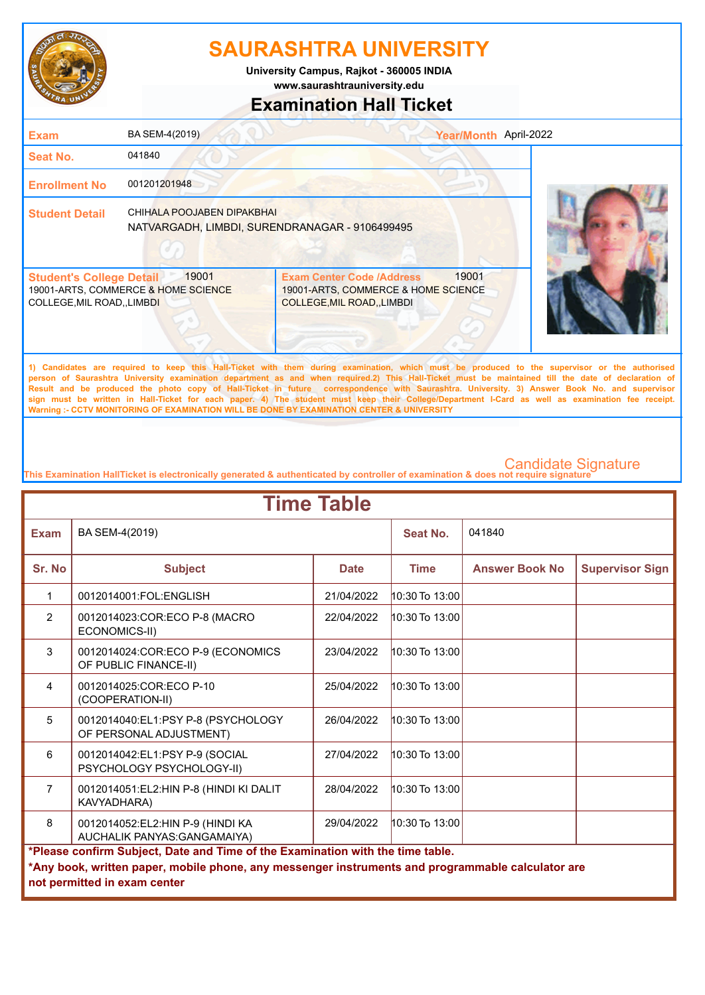

**www.saurashtrauniversity.edu University Campus, Rajkot - 360005 INDIA**

### **Examination Hall Ticket**

| <b>Exam</b>                                                    | BA SEM-4(2019)                                                               |                                                                                                             | Year/Month April-2022 |  |
|----------------------------------------------------------------|------------------------------------------------------------------------------|-------------------------------------------------------------------------------------------------------------|-----------------------|--|
| Seat No.                                                       | 041840                                                                       |                                                                                                             |                       |  |
| <b>Enrollment No</b>                                           | 001201201948                                                                 |                                                                                                             |                       |  |
| <b>Student Detail</b>                                          | CHIHALA POOJABEN DIPAKBHAI<br>NATVARGADH, LIMBDI, SURENDRANAGAR - 9106499495 |                                                                                                             |                       |  |
| <b>Student's College Detail</b><br>COLLEGE, MIL ROAD, , LIMBDI | 19001<br>19001-ARTS, COMMERCE & HOME SCIENCE                                 | <b>Exam Center Code /Address</b><br>19001-ARTS, COMMERCE & HOME SCIENCE<br><b>COLLEGE, MIL ROAD, LIMBDI</b> | 19001                 |  |
|                                                                |                                                                              |                                                                                                             |                       |  |

**1) Candidates are required to keep this Hall-Ticket with them during examination, which must be produced to the supervisor or the authorised person of Saurashtra University examination department as and when required.2) This Hall-Ticket must be maintained till the date of declaration of Result and be produced the photo copy of Hall-Ticket in future correspondence with Saurashtra. University. 3) Answer Book No. and supervisor sign must be written in Hall-Ticket for each paper. 4) The student must keep their College/Department I-Card as well as examination fee receipt. Warning :- CCTV MONITORING OF EXAMINATION WILL BE DONE BY EXAMINATION CENTER & UNIVERSITY**

| <b>Time Table</b> |                                                                                                                                                                                                                     |             |                    |                       |                        |  |
|-------------------|---------------------------------------------------------------------------------------------------------------------------------------------------------------------------------------------------------------------|-------------|--------------------|-----------------------|------------------------|--|
| <b>Exam</b>       | BA SEM-4(2019)                                                                                                                                                                                                      |             | Seat No.           | 041840                |                        |  |
| Sr. No            | <b>Subject</b>                                                                                                                                                                                                      | <b>Date</b> | <b>Time</b>        | <b>Answer Book No</b> | <b>Supervisor Sign</b> |  |
| 1                 | 0012014001:FOL:ENGLISH                                                                                                                                                                                              | 21/04/2022  | $10:30$ To $13:00$ |                       |                        |  |
| $\overline{2}$    | 0012014023:COR:ECO P-8 (MACRO<br>ECONOMICS-II)                                                                                                                                                                      | 22/04/2022  | $10:30$ To $13:00$ |                       |                        |  |
| 3                 | 0012014024: COR: ECO P-9 (ECONOMICS<br>OF PUBLIC FINANCE-II)                                                                                                                                                        | 23/04/2022  | $10:30$ To $13:00$ |                       |                        |  |
| $\overline{4}$    | 0012014025:COR:ECO P-10<br>(COOPERATION-II)                                                                                                                                                                         | 25/04/2022  | $10:30$ To $13:00$ |                       |                        |  |
| 5                 | 0012014040:EL1:PSY P-8 (PSYCHOLOGY<br>OF PERSONAL ADJUSTMENT)                                                                                                                                                       | 26/04/2022  | $10:30$ To $13:00$ |                       |                        |  |
| 6                 | 0012014042:EL1:PSY P-9 (SOCIAL<br>PSYCHOLOGY PSYCHOLOGY-II)                                                                                                                                                         | 27/04/2022  | $10:30$ To $13:00$ |                       |                        |  |
| $\overline{7}$    | 0012014051:EL2:HIN P-8 (HINDI KI DALIT<br>KAVYADHARA)                                                                                                                                                               | 28/04/2022  | $10:30$ To $13:00$ |                       |                        |  |
| 8                 | 0012014052:EL2:HIN P-9 (HINDI KA<br>AUCHALIK PANYAS: GANGAMAIYA)                                                                                                                                                    | 29/04/2022  | $10:30$ To $13:00$ |                       |                        |  |
|                   | *Please confirm Subject, Date and Time of the Examination with the time table.<br>*Any book, written paper, mobile phone, any messenger instruments and programmable calculator are<br>not permitted in exam center |             |                    |                       |                        |  |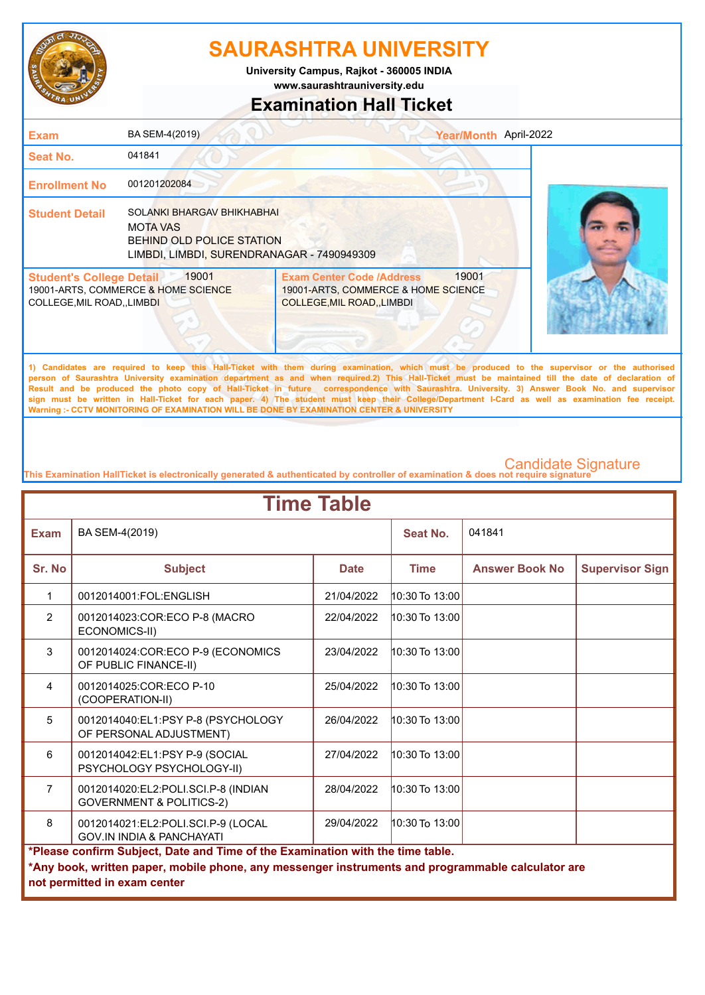

**www.saurashtrauniversity.edu University Campus, Rajkot - 360005 INDIA**

### **Examination Hall Ticket**

| <b>Exam</b>                                                         | BA SEM-4(2019)                                                                                                           |                                                                                                             | Year/Month April-2022 |  |
|---------------------------------------------------------------------|--------------------------------------------------------------------------------------------------------------------------|-------------------------------------------------------------------------------------------------------------|-----------------------|--|
| <b>Seat No.</b>                                                     | 041841                                                                                                                   |                                                                                                             |                       |  |
| <b>Enrollment No</b>                                                | 001201202084                                                                                                             |                                                                                                             |                       |  |
| <b>Student Detail</b>                                               | SOLANKI BHARGAV BHIKHABHAI<br>MOTA VAS<br><b>BEHIND OLD POLICE STATION</b><br>LIMBDI, LIMBDI, SURENDRANAGAR - 7490949309 |                                                                                                             |                       |  |
| <b>Student's College Detail</b><br><b>COLLEGE, MIL ROAD, LIMBDI</b> | 19001<br>19001-ARTS, COMMERCE & HOME SCIENCE                                                                             | <b>Exam Center Code /Address</b><br>19001-ARTS, COMMERCE & HOME SCIENCE<br><b>COLLEGE, MIL ROAD, LIMBDI</b> | 19001                 |  |

**1) Candidates are required to keep this Hall-Ticket with them during examination, which must be produced to the supervisor or the authorised person of Saurashtra University examination department as and when required.2) This Hall-Ticket must be maintained till the date of declaration of Result and be produced the photo copy of Hall-Ticket in future correspondence with Saurashtra. University. 3) Answer Book No. and supervisor sign must be written in Hall-Ticket for each paper. 4) The student must keep their College/Department I-Card as well as examination fee receipt. Warning :- CCTV MONITORING OF EXAMINATION WILL BE DONE BY EXAMINATION CENTER & UNIVERSITY**

| <b>Time Table</b> |                                                                                                                                                                                                                     |             |                    |                       |                        |  |
|-------------------|---------------------------------------------------------------------------------------------------------------------------------------------------------------------------------------------------------------------|-------------|--------------------|-----------------------|------------------------|--|
| <b>Exam</b>       | BA SEM-4(2019)                                                                                                                                                                                                      |             | Seat No.           | 041841                |                        |  |
| Sr. No            | <b>Subject</b>                                                                                                                                                                                                      | <b>Date</b> | <b>Time</b>        | <b>Answer Book No</b> | <b>Supervisor Sign</b> |  |
| 1                 | 0012014001:FOL:ENGLISH                                                                                                                                                                                              | 21/04/2022  | 10:30 To 13:00     |                       |                        |  |
| $\overline{2}$    | 0012014023:COR:ECO P-8 (MACRO<br>ECONOMICS-II)                                                                                                                                                                      | 22/04/2022  | 10:30 To 13:00     |                       |                        |  |
| 3                 | 0012014024: COR: ECO P-9 (ECONOMICS<br>OF PUBLIC FINANCE-II)                                                                                                                                                        | 23/04/2022  | $10:30$ To $13:00$ |                       |                        |  |
| $\overline{4}$    | 0012014025:COR:ECO P-10<br>(COOPERATION-II)                                                                                                                                                                         | 25/04/2022  | $10:30$ To $13:00$ |                       |                        |  |
| 5                 | 0012014040:EL1:PSY P-8 (PSYCHOLOGY<br>OF PERSONAL ADJUSTMENT)                                                                                                                                                       | 26/04/2022  | $10:30$ To $13:00$ |                       |                        |  |
| 6                 | 0012014042:EL1:PSY P-9 (SOCIAL<br>PSYCHOLOGY PSYCHOLOGY-II)                                                                                                                                                         | 27/04/2022  | $10:30$ To $13:00$ |                       |                        |  |
| $\overline{7}$    | 0012014020:EL2:POLI.SCI.P-8 (INDIAN<br><b>GOVERNMENT &amp; POLITICS-2)</b>                                                                                                                                          | 28/04/2022  | 10:30 To 13:00     |                       |                        |  |
| 8                 | 0012014021:EL2:POLI.SCI.P-9 (LOCAL<br><b>GOV.IN INDIA &amp; PANCHAYATI</b>                                                                                                                                          | 29/04/2022  | $10:30$ To $13:00$ |                       |                        |  |
|                   | *Please confirm Subject, Date and Time of the Examination with the time table.<br>*Any book, written paper, mobile phone, any messenger instruments and programmable calculator are<br>not permitted in exam center |             |                    |                       |                        |  |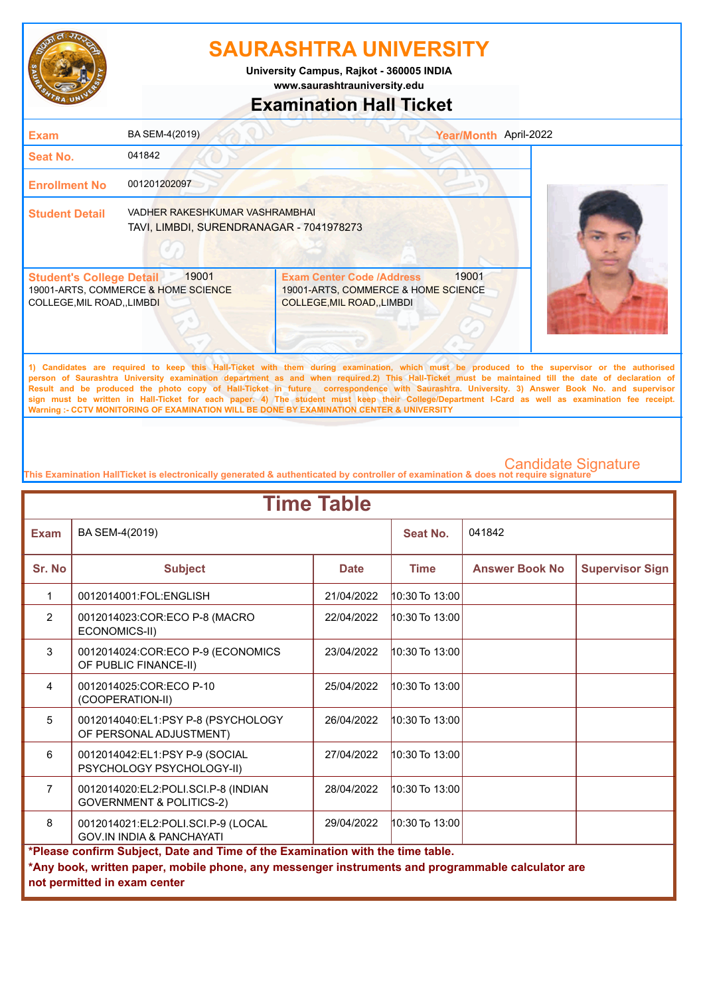

**University Campus, Rajkot - 360005 INDIA**

**www.saurashtrauniversity.edu**

### **Examination Hall Ticket**

| <b>Exam</b>                                                          | BA SEM-4(2019)                                                             |                                                                                                                | Year/Month April-2022 |
|----------------------------------------------------------------------|----------------------------------------------------------------------------|----------------------------------------------------------------------------------------------------------------|-----------------------|
| <b>Seat No.</b>                                                      | 041842                                                                     |                                                                                                                |                       |
| <b>Enrollment No</b>                                                 | 001201202097                                                               |                                                                                                                |                       |
| <b>Student Detail</b>                                                | VADHER RAKESHKUMAR VASHRAMBHAI<br>TAVI, LIMBDI, SURENDRANAGAR - 7041978273 |                                                                                                                |                       |
| <b>Student's College Detail</b><br><b>COLLEGE, MIL ROAD,, LIMBDI</b> | 19001<br>19001-ARTS, COMMERCE & HOME SCIENCE                               | 19001<br><b>Exam Center Code /Address</b><br>19001-ARTS, COMMERCE & HOME SCIENCE<br>COLLEGE, MIL ROAD,, LIMBDI |                       |
|                                                                      |                                                                            |                                                                                                                |                       |

**1) Candidates are required to keep this Hall-Ticket with them during examination, which must be produced to the supervisor or the authorised person of Saurashtra University examination department as and when required.2) This Hall-Ticket must be maintained till the date of declaration of Result and be produced the photo copy of Hall-Ticket in future correspondence with Saurashtra. University. 3) Answer Book No. and supervisor sign must be written in Hall-Ticket for each paper. 4) The student must keep their College/Department I-Card as well as examination fee receipt. Warning :- CCTV MONITORING OF EXAMINATION WILL BE DONE BY EXAMINATION CENTER & UNIVERSITY**

| <b>Time Table</b> |                                                                                                                                                                                                                     |             |                    |                       |                        |  |
|-------------------|---------------------------------------------------------------------------------------------------------------------------------------------------------------------------------------------------------------------|-------------|--------------------|-----------------------|------------------------|--|
| <b>Exam</b>       | BA SEM-4(2019)                                                                                                                                                                                                      |             | <b>Seat No.</b>    | 041842                |                        |  |
| Sr. No            | <b>Subject</b>                                                                                                                                                                                                      | <b>Date</b> | <b>Time</b>        | <b>Answer Book No</b> | <b>Supervisor Sign</b> |  |
| 1                 | 0012014001:FOL:ENGLISH                                                                                                                                                                                              | 21/04/2022  | 10:30 To 13:00     |                       |                        |  |
| $\overline{2}$    | 0012014023:COR:ECO P-8 (MACRO<br>ECONOMICS-II)                                                                                                                                                                      | 22/04/2022  | $10:30$ To $13:00$ |                       |                        |  |
| 3                 | 0012014024:COR:ECO P-9 (ECONOMICS<br>OF PUBLIC FINANCE-II)                                                                                                                                                          | 23/04/2022  | 10:30 To 13:00     |                       |                        |  |
| 4                 | 0012014025:COR:ECO P-10<br>(COOPERATION-II)                                                                                                                                                                         | 25/04/2022  | $10:30$ To $13:00$ |                       |                        |  |
| 5                 | 0012014040:EL1:PSY P-8 (PSYCHOLOGY<br>OF PERSONAL ADJUSTMENT)                                                                                                                                                       | 26/04/2022  | 10:30 To 13:00     |                       |                        |  |
| 6                 | 0012014042:EL1:PSY P-9 (SOCIAL<br>PSYCHOLOGY PSYCHOLOGY-II)                                                                                                                                                         | 27/04/2022  | 10:30 To 13:00     |                       |                        |  |
| $\overline{7}$    | 0012014020:EL2:POLI.SCI.P-8 (INDIAN<br><b>GOVERNMENT &amp; POLITICS-2)</b>                                                                                                                                          | 28/04/2022  | $10:30$ To $13:00$ |                       |                        |  |
| 8                 | 0012014021:EL2:POLI.SCI.P-9 (LOCAL<br><b>GOV.IN INDIA &amp; PANCHAYATI</b>                                                                                                                                          | 29/04/2022  | $10:30$ To $13:00$ |                       |                        |  |
|                   | *Please confirm Subject, Date and Time of the Examination with the time table.<br>*Any book, written paper, mobile phone, any messenger instruments and programmable calculator are<br>not permitted in exam center |             |                    |                       |                        |  |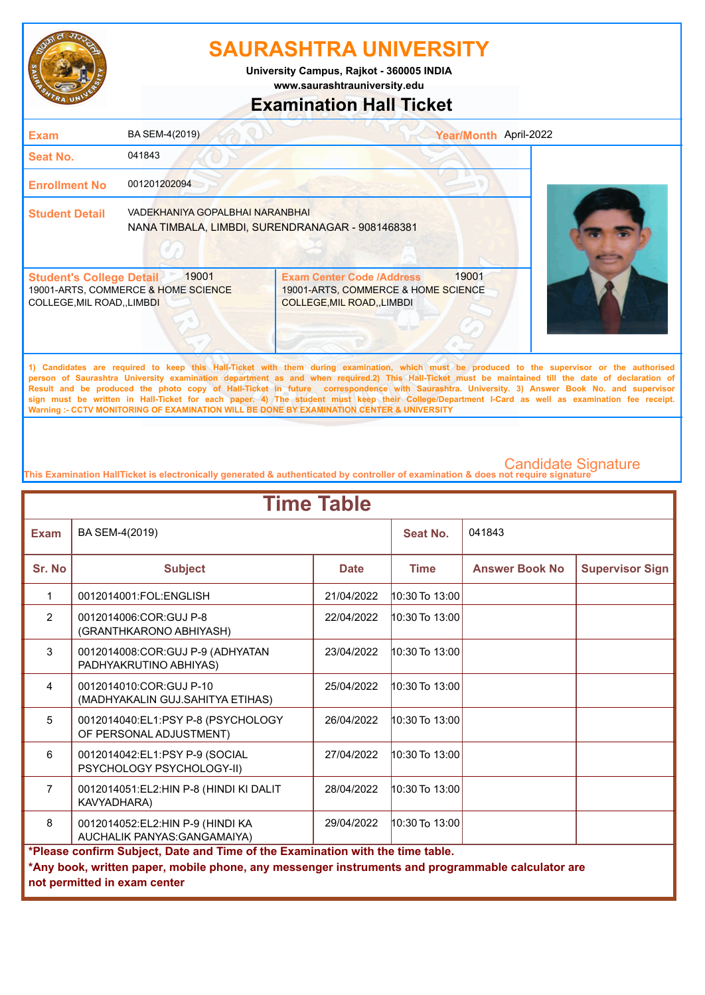

**www.saurashtrauniversity.edu University Campus, Rajkot - 360005 INDIA**

### **Examination Hall Ticket**

| <b>Exam</b>                                                    | BA SEM-4(2019)                                                                      |                                                                                                        | Year/Month April-2022 |                                                                                                                                              |
|----------------------------------------------------------------|-------------------------------------------------------------------------------------|--------------------------------------------------------------------------------------------------------|-----------------------|----------------------------------------------------------------------------------------------------------------------------------------------|
| <b>Seat No.</b>                                                | 041843                                                                              |                                                                                                        |                       |                                                                                                                                              |
| <b>Enrollment No</b>                                           | 001201202094                                                                        |                                                                                                        |                       |                                                                                                                                              |
| <b>Student Detail</b>                                          | VADEKHANIYA GOPALBHAI NARANBHAI<br>NANA TIMBALA, LIMBDI, SURENDRANAGAR - 9081468381 |                                                                                                        |                       |                                                                                                                                              |
| <b>Student's College Detail</b><br>COLLEGE, MIL ROAD, , LIMBDI | 19001<br>19001-ARTS, COMMERCE & HOME SCIENCE                                        | <b>Exam Center Code /Address</b><br>19001-ARTS, COMMERCE & HOME SCIENCE<br>COLLEGE, MIL ROAD, , LIMBDI | 19001                 |                                                                                                                                              |
|                                                                |                                                                                     |                                                                                                        |                       | 1) Candidates are required to keep this Hall-Ticket with them during examination, which must be produced to the supervisor or the authorised |

**person of Saurashtra University examination department as and when required.2) This Hall-Ticket must be maintained till the date of declaration of Result and be produced the photo copy of Hall-Ticket in future correspondence with Saurashtra. University. 3) Answer Book No. and supervisor sign must be written in Hall-Ticket for each paper. 4) The student must keep their College/Department I-Card as well as examination fee receipt. Warning :- CCTV MONITORING OF EXAMINATION WILL BE DONE BY EXAMINATION CENTER & UNIVERSITY**

| <b>Time Table</b> |                                                                                                                                                                                                                     |             |                    |                       |                        |  |
|-------------------|---------------------------------------------------------------------------------------------------------------------------------------------------------------------------------------------------------------------|-------------|--------------------|-----------------------|------------------------|--|
| <b>Exam</b>       | BA SEM-4(2019)                                                                                                                                                                                                      |             | Seat No.           | 041843                |                        |  |
| Sr. No            | <b>Subject</b>                                                                                                                                                                                                      | <b>Date</b> | <b>Time</b>        | <b>Answer Book No</b> | <b>Supervisor Sign</b> |  |
| 1                 | 0012014001:FOL:ENGLISH                                                                                                                                                                                              | 21/04/2022  | 10:30 To 13:00     |                       |                        |  |
| $\overline{2}$    | 0012014006:COR:GUJ P-8<br>(GRANTHKARONO ABHIYASH)                                                                                                                                                                   | 22/04/2022  | 10:30 To 13:00     |                       |                        |  |
| 3                 | 0012014008:COR:GUJ P-9 (ADHYATAN<br>PADHYAKRUTINO ABHIYAS)                                                                                                                                                          | 23/04/2022  | $10:30$ To $13:00$ |                       |                        |  |
| $\overline{4}$    | 0012014010:COR:GUJ P-10<br>(MADHYAKALIN GUJ.SAHITYA ETIHAS)                                                                                                                                                         | 25/04/2022  | $10:30$ To $13:00$ |                       |                        |  |
| 5                 | 0012014040:EL1:PSY P-8 (PSYCHOLOGY<br>OF PERSONAL ADJUSTMENT)                                                                                                                                                       | 26/04/2022  | $10:30$ To $13:00$ |                       |                        |  |
| 6                 | 0012014042:EL1:PSY P-9 (SOCIAL<br>PSYCHOLOGY PSYCHOLOGY-II)                                                                                                                                                         | 27/04/2022  | $10:30$ To $13:00$ |                       |                        |  |
| $\overline{7}$    | 0012014051:EL2:HIN P-8 (HINDI KI DALIT<br>KAVYADHARA)                                                                                                                                                               | 28/04/2022  | $10:30$ To $13:00$ |                       |                        |  |
| 8                 | 0012014052:EL2:HIN P-9 (HINDI KA<br>AUCHALIK PANYAS: GANGAMAIYA)                                                                                                                                                    | 29/04/2022  | 10:30 To 13:00     |                       |                        |  |
|                   | *Please confirm Subject, Date and Time of the Examination with the time table.<br>*Any book, written paper, mobile phone, any messenger instruments and programmable calculator are<br>not permitted in exam center |             |                    |                       |                        |  |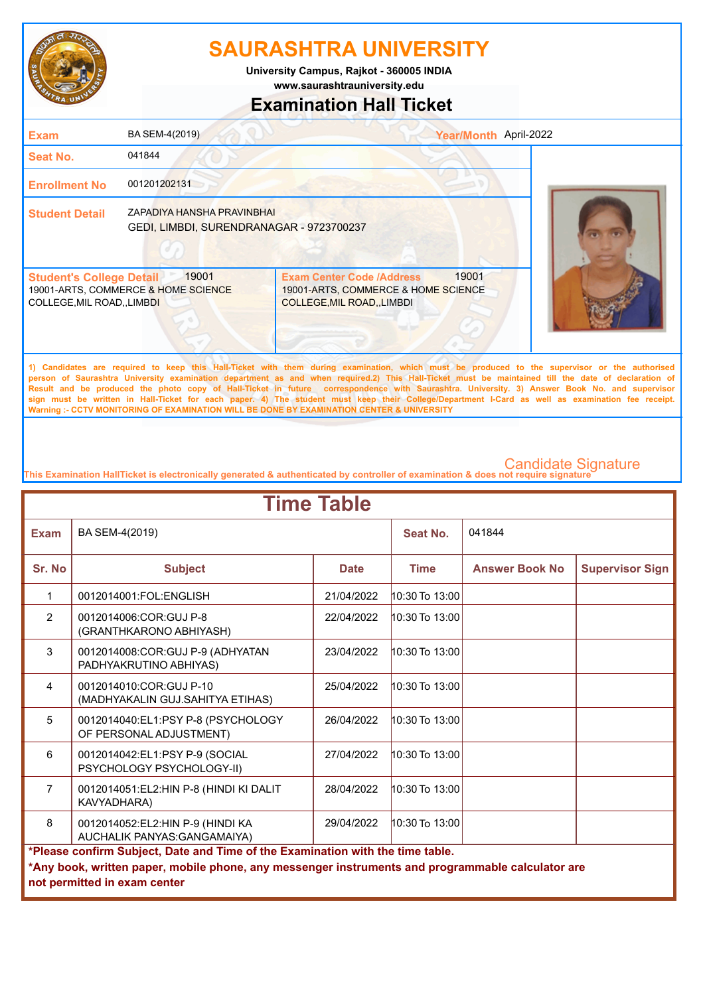

**University Campus, Rajkot - 360005 INDIA**

**www.saurashtrauniversity.edu**

### **Examination Hall Ticket**

| <b>Exam</b>                                                    | BA SEM-4(2019)                                                         |                                                                                                       | Year/Month April-2022 |
|----------------------------------------------------------------|------------------------------------------------------------------------|-------------------------------------------------------------------------------------------------------|-----------------------|
| <b>Seat No.</b>                                                | 041844                                                                 |                                                                                                       |                       |
| <b>Enrollment No</b>                                           | 001201202131                                                           |                                                                                                       |                       |
| <b>Student Detail</b>                                          | ZAPADIYA HANSHA PRAVINBHAI<br>GEDI, LIMBDI, SURENDRANAGAR - 9723700237 |                                                                                                       |                       |
| <b>Student's College Detail</b><br>COLLEGE, MIL ROAD, , LIMBDI | 19001<br>19001-ARTS, COMMERCE & HOME SCIENCE                           | <b>Exam Center Code /Address</b><br>19001-ARTS, COMMERCE & HOME SCIENCE<br>COLLEGE, MIL ROAD,, LIMBDI | 19001                 |

**1) Candidates are required to keep this Hall-Ticket with them during examination, which must be produced to the supervisor or the authorised person of Saurashtra University examination department as and when required.2) This Hall-Ticket must be maintained till the date of declaration of Result and be produced the photo copy of Hall-Ticket in future correspondence with Saurashtra. University. 3) Answer Book No. and supervisor sign must be written in Hall-Ticket for each paper. 4) The student must keep their College/Department I-Card as well as examination fee receipt. Warning :- CCTV MONITORING OF EXAMINATION WILL BE DONE BY EXAMINATION CENTER & UNIVERSITY**

| <b>Time Table</b> |                                                                                                                                                                                                                     |             |                    |                       |                        |  |
|-------------------|---------------------------------------------------------------------------------------------------------------------------------------------------------------------------------------------------------------------|-------------|--------------------|-----------------------|------------------------|--|
| <b>Exam</b>       | BA SEM-4(2019)                                                                                                                                                                                                      |             | Seat No.           | 041844                |                        |  |
| Sr. No            | <b>Subject</b>                                                                                                                                                                                                      | <b>Date</b> | <b>Time</b>        | <b>Answer Book No</b> | <b>Supervisor Sign</b> |  |
| 1                 | 0012014001:FOL:ENGLISH                                                                                                                                                                                              | 21/04/2022  | 10:30 To 13:00     |                       |                        |  |
| $\overline{2}$    | 0012014006:COR:GUJ P-8<br>(GRANTHKARONO ABHIYASH)                                                                                                                                                                   | 22/04/2022  | $10:30$ To $13:00$ |                       |                        |  |
| 3                 | 0012014008:COR:GUJ P-9 (ADHYATAN<br>PADHYAKRUTINO ABHIYAS)                                                                                                                                                          | 23/04/2022  | $10:30$ To $13:00$ |                       |                        |  |
| $\overline{4}$    | 0012014010:COR:GUJ P-10<br>(MADHYAKALIN GUJ.SAHITYA ETIHAS)                                                                                                                                                         | 25/04/2022  | 10:30 To 13:00     |                       |                        |  |
| 5                 | 0012014040:EL1:PSY P-8 (PSYCHOLOGY<br>OF PERSONAL ADJUSTMENT)                                                                                                                                                       | 26/04/2022  | 10:30 To 13:00     |                       |                        |  |
| 6                 | 0012014042:EL1:PSY P-9 (SOCIAL<br>PSYCHOLOGY PSYCHOLOGY-II)                                                                                                                                                         | 27/04/2022  | 10:30 To 13:00     |                       |                        |  |
| $\overline{7}$    | 0012014051:EL2:HIN P-8 (HINDI KI DALIT<br>KAVYADHARA)                                                                                                                                                               | 28/04/2022  | 10:30 To 13:00     |                       |                        |  |
| 8                 | 0012014052:EL2:HIN P-9 (HINDI KA<br>AUCHALIK PANYAS: GANGAMAIYA)                                                                                                                                                    | 29/04/2022  | $10:30$ To $13:00$ |                       |                        |  |
|                   | *Please confirm Subject, Date and Time of the Examination with the time table.<br>*Any book, written paper, mobile phone, any messenger instruments and programmable calculator are<br>not permitted in exam center |             |                    |                       |                        |  |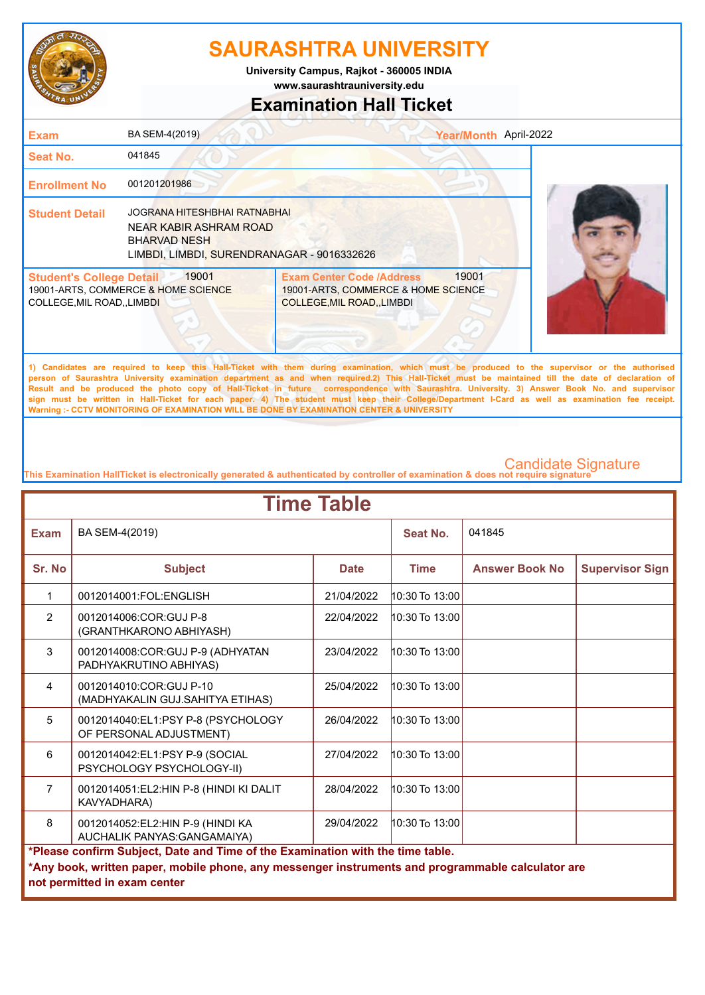

**www.saurashtrauniversity.edu University Campus, Rajkot - 360005 INDIA**

### **Examination Hall Ticket**

| <b>Exam</b>                                                    | BA SEM-4(2019)                                                                                                              |                                                                                                                                             | Year/Month April-2022 |  |
|----------------------------------------------------------------|-----------------------------------------------------------------------------------------------------------------------------|---------------------------------------------------------------------------------------------------------------------------------------------|-----------------------|--|
| <b>Seat No.</b>                                                | 041845                                                                                                                      |                                                                                                                                             |                       |  |
| <b>Enrollment No</b>                                           | 001201201986                                                                                                                |                                                                                                                                             |                       |  |
| <b>Student Detail</b>                                          | JOGRANA HITESHBHAI RATNABHAI<br>NEAR KABIR ASHRAM ROAD<br><b>BHARVAD NESH</b><br>LIMBDI, LIMBDI, SURENDRANAGAR - 9016332626 |                                                                                                                                             |                       |  |
| <b>Student's College Detail</b><br>COLLEGE, MIL ROAD, , LIMBDI | 19001<br>19001-ARTS, COMMERCE & HOME SCIENCE                                                                                | <b>Exam Center Code /Address</b><br>19001-ARTS, COMMERCE & HOME SCIENCE<br><b>COLLEGE, MIL ROAD, , LIMBDI</b>                               | 19001                 |  |
|                                                                |                                                                                                                             | 1) Candidates are required to keep this Hall-Ticket with them during examination which must be produced to the supervisor or the authorised |                       |  |

**1) Candidates are required to keep this Hall-Ticket with them during examination, which must be produced to the supervisor or the authorised person of Saurashtra University examination department as and when required.2) This Hall-Ticket must be maintained till the date of declaration of Result and be produced the photo copy of Hall-Ticket in future correspondence with Saurashtra. University. 3) Answer Book No. and supervisor sign must be written in Hall-Ticket for each paper. 4) The student must keep their College/Department I-Card as well as examination fee receipt. Warning :- CCTV MONITORING OF EXAMINATION WILL BE DONE BY EXAMINATION CENTER & UNIVERSITY**

|                | <b>Time Table</b>                                                                                                                                                                                                   |             |                    |                       |                        |  |  |
|----------------|---------------------------------------------------------------------------------------------------------------------------------------------------------------------------------------------------------------------|-------------|--------------------|-----------------------|------------------------|--|--|
| <b>Exam</b>    | BA SEM-4(2019)                                                                                                                                                                                                      |             | Seat No.           | 041845                |                        |  |  |
| Sr. No         | <b>Subject</b>                                                                                                                                                                                                      | <b>Date</b> | <b>Time</b>        | <b>Answer Book No</b> | <b>Supervisor Sign</b> |  |  |
| 1              | 0012014001:FOL:ENGLISH                                                                                                                                                                                              | 21/04/2022  | 10:30 To 13:00     |                       |                        |  |  |
| $\overline{2}$ | 0012014006:COR:GUJ P-8<br>(GRANTHKARONO ABHIYASH)                                                                                                                                                                   | 22/04/2022  | $10:30$ To $13:00$ |                       |                        |  |  |
| 3              | 0012014008:COR:GUJ P-9 (ADHYATAN<br>PADHYAKRUTINO ABHIYAS)                                                                                                                                                          | 23/04/2022  | $10:30$ To $13:00$ |                       |                        |  |  |
| $\overline{4}$ | 0012014010:COR:GUJ P-10<br>(MADHYAKALIN GUJ.SAHITYA ETIHAS)                                                                                                                                                         | 25/04/2022  | 10:30 To 13:00     |                       |                        |  |  |
| 5              | 0012014040:EL1:PSY P-8 (PSYCHOLOGY<br>OF PERSONAL ADJUSTMENT)                                                                                                                                                       | 26/04/2022  | 10:30 To 13:00     |                       |                        |  |  |
| 6              | 0012014042:EL1:PSY P-9 (SOCIAL<br>PSYCHOLOGY PSYCHOLOGY-II)                                                                                                                                                         | 27/04/2022  | 10:30 To 13:00     |                       |                        |  |  |
| $\overline{7}$ | 0012014051:EL2:HIN P-8 (HINDI KI DALIT<br>KAVYADHARA)                                                                                                                                                               | 28/04/2022  | 10:30 To 13:00     |                       |                        |  |  |
| 8              | $10:30$ To $13:00$<br>0012014052:EL2:HIN P-9 (HINDI KA<br>29/04/2022<br>AUCHALIK PANYAS: GANGAMAIYA)                                                                                                                |             |                    |                       |                        |  |  |
|                | *Please confirm Subject, Date and Time of the Examination with the time table.<br>*Any book, written paper, mobile phone, any messenger instruments and programmable calculator are<br>not permitted in exam center |             |                    |                       |                        |  |  |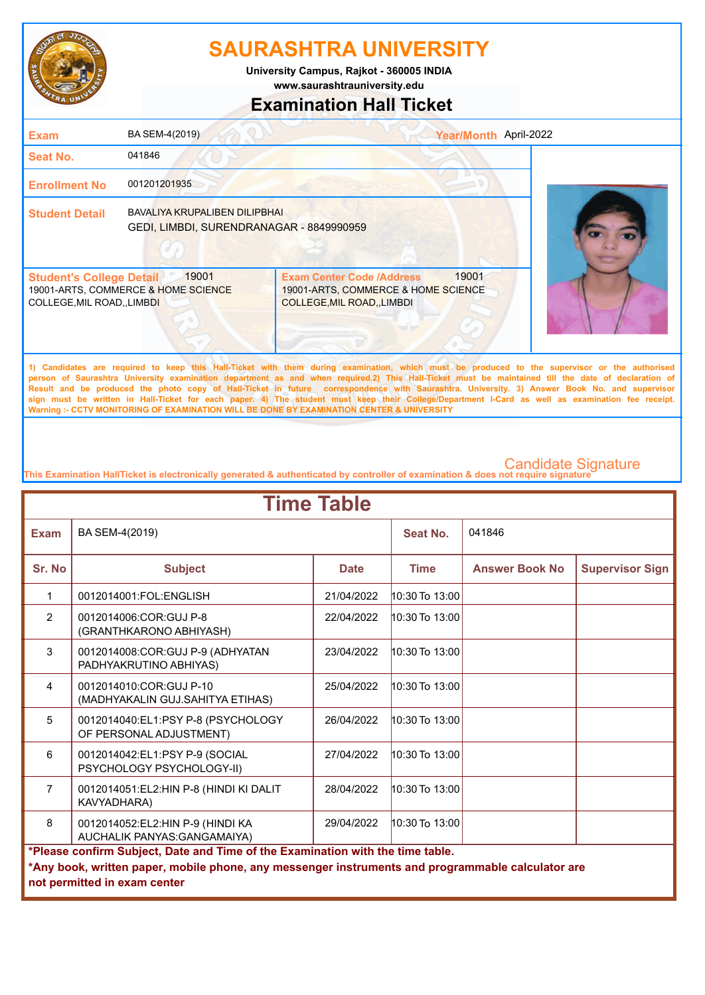

**www.saurashtrauniversity.edu University Campus, Rajkot - 360005 INDIA**

# **Examination Hall Ticket**

| <b>Exam</b>                                                    | BA SEM-4(2019)                                                                   |                                                                                                                                              | Year/Month April-2022 |  |
|----------------------------------------------------------------|----------------------------------------------------------------------------------|----------------------------------------------------------------------------------------------------------------------------------------------|-----------------------|--|
| Seat No.                                                       | 041846                                                                           |                                                                                                                                              |                       |  |
| <b>Enrollment No</b>                                           | 001201201935                                                                     |                                                                                                                                              |                       |  |
| <b>Student Detail</b>                                          | <b>BAVALIYA KRUPALIBEN DILIPBHAI</b><br>GEDI, LIMBDI, SURENDRANAGAR - 8849990959 |                                                                                                                                              |                       |  |
| <b>Student's College Detail</b><br>COLLEGE, MIL ROAD, , LIMBDI | 19001<br>19001-ARTS, COMMERCE & HOME SCIENCE                                     | <b>Exam Center Code /Address</b><br>19001-ARTS, COMMERCE & HOME SCIENCE<br><b>COLLEGE, MIL ROAD, LIMBDI</b>                                  | 19001                 |  |
|                                                                |                                                                                  | 1) Candidates are required to keep this Hall-Ticket with them during examination, which must be produced to the supervisor or the authorised |                       |  |

**person of Saurashtra University examination department as and when required.2) This Hall-Ticket must be maintained till the date of declaration of Result and be produced the photo copy of Hall-Ticket in future correspondence with Saurashtra. University. 3) Answer Book No. and supervisor sign must be written in Hall-Ticket for each paper. 4) The student must keep their College/Department I-Card as well as examination fee receipt. Warning :- CCTV MONITORING OF EXAMINATION WILL BE DONE BY EXAMINATION CENTER & UNIVERSITY**

| <b>Time Table</b> |                                                                                                                                                                                                                     |             |                    |                       |                        |  |
|-------------------|---------------------------------------------------------------------------------------------------------------------------------------------------------------------------------------------------------------------|-------------|--------------------|-----------------------|------------------------|--|
| <b>Exam</b>       | BA SEM-4(2019)                                                                                                                                                                                                      |             | Seat No.           | 041846                |                        |  |
| Sr. No            | <b>Subject</b>                                                                                                                                                                                                      | <b>Date</b> | <b>Time</b>        | <b>Answer Book No</b> | <b>Supervisor Sign</b> |  |
| 1                 | 0012014001:FOL:ENGLISH                                                                                                                                                                                              | 21/04/2022  | 10:30 To 13:00     |                       |                        |  |
| $\overline{2}$    | 0012014006:COR:GUJ P-8<br>(GRANTHKARONO ABHIYASH)                                                                                                                                                                   | 22/04/2022  | $10:30$ To $13:00$ |                       |                        |  |
| 3                 | 0012014008:COR:GUJ P-9 (ADHYATAN<br>PADHYAKRUTINO ABHIYAS)                                                                                                                                                          | 23/04/2022  | $10:30$ To $13:00$ |                       |                        |  |
| $\overline{4}$    | 0012014010:COR:GUJ P-10<br>(MADHYAKALIN GUJ.SAHITYA ETIHAS)                                                                                                                                                         | 25/04/2022  | $10:30$ To $13:00$ |                       |                        |  |
| 5                 | 0012014040:EL1:PSY P-8 (PSYCHOLOGY<br>OF PERSONAL ADJUSTMENT)                                                                                                                                                       | 26/04/2022  | $10:30$ To $13:00$ |                       |                        |  |
| 6                 | 0012014042:EL1:PSY P-9 (SOCIAL<br>PSYCHOLOGY PSYCHOLOGY-II)                                                                                                                                                         | 27/04/2022  | $10:30$ To $13:00$ |                       |                        |  |
| $\overline{7}$    | 0012014051:EL2:HIN P-8 (HINDI KI DALIT<br>KAVYADHARA)                                                                                                                                                               | 28/04/2022  | $10:30$ To $13:00$ |                       |                        |  |
| 8                 | 0012014052:EL2:HIN P-9 (HINDI KA<br>AUCHALIK PANYAS: GANGAMAIYA)                                                                                                                                                    | 29/04/2022  | $10:30$ To $13:00$ |                       |                        |  |
|                   | *Please confirm Subject, Date and Time of the Examination with the time table.<br>*Any book, written paper, mobile phone, any messenger instruments and programmable calculator are<br>not permitted in exam center |             |                    |                       |                        |  |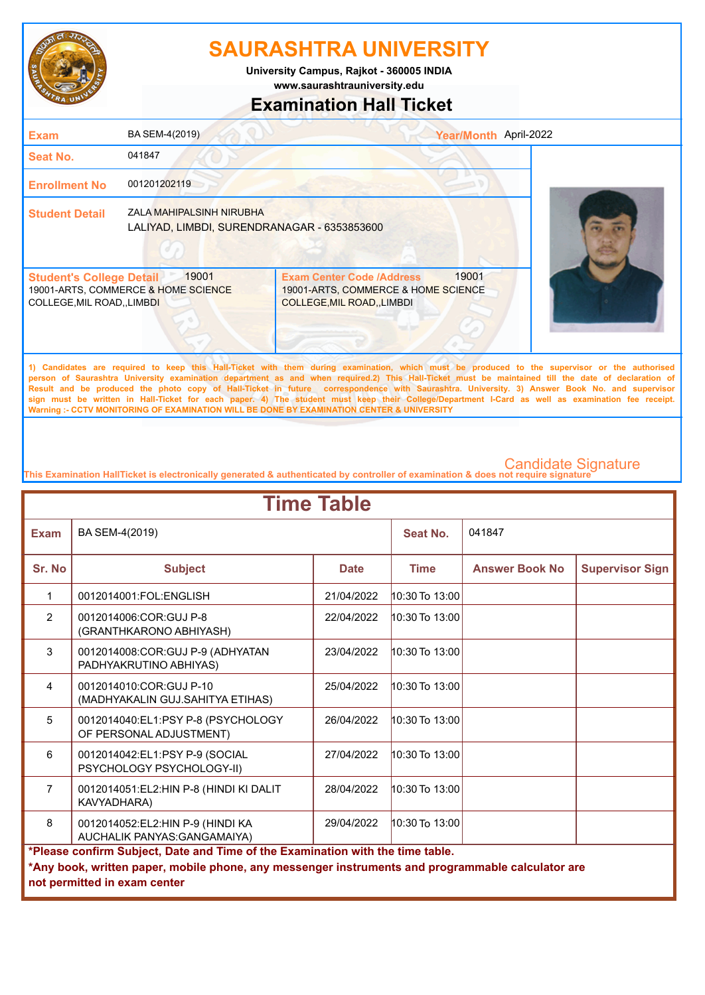

**University Campus, Rajkot - 360005 INDIA**

**www.saurashtrauniversity.edu**

### **Examination Hall Ticket**

| <b>Exam</b>                                                          | BA SEM-4(2019)                                                                 |                                                                                                        | Year/Month April-2022 |
|----------------------------------------------------------------------|--------------------------------------------------------------------------------|--------------------------------------------------------------------------------------------------------|-----------------------|
| <b>Seat No.</b>                                                      | 041847                                                                         |                                                                                                        |                       |
| <b>Enrollment No</b>                                                 | 001201202119                                                                   |                                                                                                        |                       |
| <b>Student Detail</b>                                                | <b>ZALA MAHIPALSINH NIRUBHA</b><br>LALIYAD, LIMBDI, SURENDRANAGAR - 6353853600 |                                                                                                        |                       |
| <b>Student's College Detail</b><br><b>COLLEGE, MIL ROAD,, LIMBDI</b> | 19001<br>19001-ARTS, COMMERCE & HOME SCIENCE                                   | <b>Exam Center Code /Address</b><br>19001-ARTS, COMMERCE & HOME SCIENCE<br>COLLEGE, MIL ROAD, , LIMBDI | 19001                 |

**1) Candidates are required to keep this Hall-Ticket with them during examination, which must be produced to the supervisor or the authorised person of Saurashtra University examination department as and when required.2) This Hall-Ticket must be maintained till the date of declaration of Result and be produced the photo copy of Hall-Ticket in future correspondence with Saurashtra. University. 3) Answer Book No. and supervisor sign must be written in Hall-Ticket for each paper. 4) The student must keep their College/Department I-Card as well as examination fee receipt. Warning :- CCTV MONITORING OF EXAMINATION WILL BE DONE BY EXAMINATION CENTER & UNIVERSITY**

| <b>Time Table</b> |                                                                                                                                                                                                                     |             |                    |                       |                        |  |
|-------------------|---------------------------------------------------------------------------------------------------------------------------------------------------------------------------------------------------------------------|-------------|--------------------|-----------------------|------------------------|--|
| <b>Exam</b>       | BA SEM-4(2019)                                                                                                                                                                                                      |             | Seat No.           | 041847                |                        |  |
| Sr. No            | <b>Subject</b>                                                                                                                                                                                                      | <b>Date</b> | <b>Time</b>        | <b>Answer Book No</b> | <b>Supervisor Sign</b> |  |
| 1                 | 0012014001:FOL:ENGLISH                                                                                                                                                                                              | 21/04/2022  | 10:30 To 13:00     |                       |                        |  |
| $\overline{2}$    | 0012014006:COR:GUJ P-8<br>(GRANTHKARONO ABHIYASH)                                                                                                                                                                   | 22/04/2022  | 10:30 To 13:00     |                       |                        |  |
| 3                 | 0012014008:COR:GUJ P-9 (ADHYATAN<br>PADHYAKRUTINO ABHIYAS)                                                                                                                                                          | 23/04/2022  | $10:30$ To $13:00$ |                       |                        |  |
| $\overline{4}$    | 0012014010:COR:GUJ P-10<br>(MADHYAKALIN GUJ.SAHITYA ETIHAS)                                                                                                                                                         | 25/04/2022  | $10:30$ To $13:00$ |                       |                        |  |
| 5                 | 0012014040:EL1:PSY P-8 (PSYCHOLOGY<br>OF PERSONAL ADJUSTMENT)                                                                                                                                                       | 26/04/2022  | $10:30$ To $13:00$ |                       |                        |  |
| 6                 | 0012014042:EL1:PSY P-9 (SOCIAL<br>PSYCHOLOGY PSYCHOLOGY-II)                                                                                                                                                         | 27/04/2022  | 10:30 To 13:00     |                       |                        |  |
| $\overline{7}$    | 0012014051:EL2:HIN P-8 (HINDI KI DALIT<br>KAVYADHARA)                                                                                                                                                               | 28/04/2022  | $10:30$ To $13:00$ |                       |                        |  |
| 8                 | 10:30 To 13:00<br>0012014052:EL2:HIN P-9 (HINDI KA<br>29/04/2022<br>AUCHALIK PANYAS: GANGAMAIYA)                                                                                                                    |             |                    |                       |                        |  |
|                   | *Please confirm Subject, Date and Time of the Examination with the time table.<br>*Any book, written paper, mobile phone, any messenger instruments and programmable calculator are<br>not permitted in exam center |             |                    |                       |                        |  |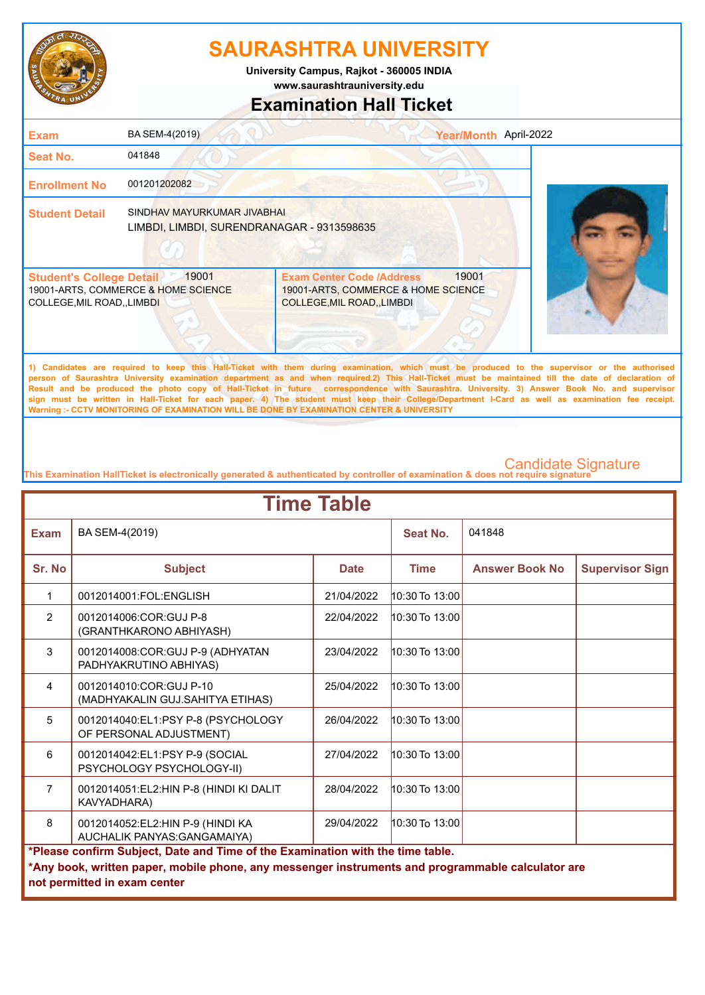

**www.saurashtrauniversity.edu University Campus, Rajkot - 360005 INDIA**

### **Examination Hall Ticket**

| <b>Exam</b>                                                    | BA SEM-4(2019)                                                            |                                                                                                             | Year/Month April-2022 |
|----------------------------------------------------------------|---------------------------------------------------------------------------|-------------------------------------------------------------------------------------------------------------|-----------------------|
| <b>Seat No.</b>                                                | 041848                                                                    |                                                                                                             |                       |
| <b>Enrollment No</b>                                           | 001201202082                                                              |                                                                                                             |                       |
| <b>Student Detail</b>                                          | SINDHAV MAYURKUMAR JIVABHAI<br>LIMBDI, LIMBDI, SURENDRANAGAR - 9313598635 |                                                                                                             |                       |
| <b>Student's College Detail</b><br>COLLEGE, MIL ROAD, , LIMBDI | 19001<br>19001-ARTS, COMMERCE & HOME SCIENCE                              | <b>Exam Center Code /Address</b><br>19001-ARTS, COMMERCE & HOME SCIENCE<br><b>COLLEGE, MIL ROAD, LIMBDI</b> | 19001                 |
|                                                                |                                                                           |                                                                                                             |                       |

**1) Candidates are required to keep this Hall-Ticket with them during examination, which must be produced to the supervisor or the authorised person of Saurashtra University examination department as and when required.2) This Hall-Ticket must be maintained till the date of declaration of Result and be produced the photo copy of Hall-Ticket in future correspondence with Saurashtra. University. 3) Answer Book No. and supervisor sign must be written in Hall-Ticket for each paper. 4) The student must keep their College/Department I-Card as well as examination fee receipt. Warning :- CCTV MONITORING OF EXAMINATION WILL BE DONE BY EXAMINATION CENTER & UNIVERSITY**

| <b>Time Table</b> |                                                                                                                                                                                                                     |             |                    |                       |                        |  |
|-------------------|---------------------------------------------------------------------------------------------------------------------------------------------------------------------------------------------------------------------|-------------|--------------------|-----------------------|------------------------|--|
| <b>Exam</b>       | BA SEM-4(2019)                                                                                                                                                                                                      |             | Seat No.           | 041848                |                        |  |
| Sr. No            | <b>Subject</b>                                                                                                                                                                                                      | <b>Date</b> | <b>Time</b>        | <b>Answer Book No</b> | <b>Supervisor Sign</b> |  |
| 1                 | 0012014001:FOL:ENGLISH                                                                                                                                                                                              | 21/04/2022  | 10:30 To 13:00     |                       |                        |  |
| $\overline{2}$    | 0012014006:COR:GUJ P-8<br>(GRANTHKARONO ABHIYASH)                                                                                                                                                                   | 22/04/2022  | $10:30$ To $13:00$ |                       |                        |  |
| 3                 | 0012014008:COR:GUJ P-9 (ADHYATAN<br>PADHYAKRUTINO ABHIYAS)                                                                                                                                                          | 23/04/2022  | $10:30$ To $13:00$ |                       |                        |  |
| $\overline{4}$    | 0012014010:COR:GUJ P-10<br>(MADHYAKALIN GUJ.SAHITYA ETIHAS)                                                                                                                                                         | 25/04/2022  | 10:30 To 13:00     |                       |                        |  |
| 5                 | 0012014040:EL1:PSY P-8 (PSYCHOLOGY<br>OF PERSONAL ADJUSTMENT)                                                                                                                                                       | 26/04/2022  | $10:30$ To $13:00$ |                       |                        |  |
| 6                 | 0012014042:EL1:PSY P-9 (SOCIAL<br>PSYCHOLOGY PSYCHOLOGY-II)                                                                                                                                                         | 27/04/2022  | 10:30 To 13:00     |                       |                        |  |
| $\overline{7}$    | 0012014051:EL2:HIN P-8 (HINDI KI DALIT<br>KAVYADHARA)                                                                                                                                                               | 28/04/2022  | $10:30$ To $13:00$ |                       |                        |  |
| 8                 | 0012014052:EL2:HIN P-9 (HINDI KA<br>AUCHALIK PANYAS: GANGAMAIYA)                                                                                                                                                    | 29/04/2022  | 10:30 To 13:00     |                       |                        |  |
|                   | *Please confirm Subject, Date and Time of the Examination with the time table.<br>*Any book, written paper, mobile phone, any messenger instruments and programmable calculator are<br>not permitted in exam center |             |                    |                       |                        |  |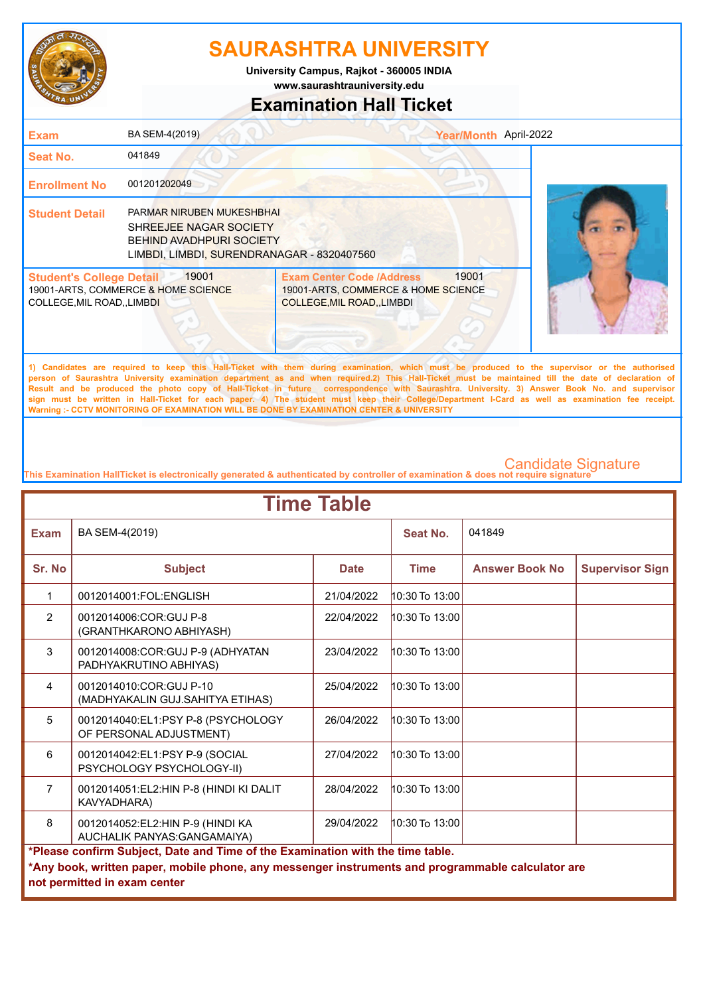

**www.saurashtrauniversity.edu University Campus, Rajkot - 360005 INDIA**

### **Examination Hall Ticket**

| <b>Exam</b>                                                    | BA SEM-4(2019)                                                                                                                       |                                                                                                                                                                                                                                                                                                    | Year/Month April-2022 |  |
|----------------------------------------------------------------|--------------------------------------------------------------------------------------------------------------------------------------|----------------------------------------------------------------------------------------------------------------------------------------------------------------------------------------------------------------------------------------------------------------------------------------------------|-----------------------|--|
| Seat No.                                                       | 041849                                                                                                                               |                                                                                                                                                                                                                                                                                                    |                       |  |
| <b>Enrollment No</b>                                           | 001201202049                                                                                                                         |                                                                                                                                                                                                                                                                                                    |                       |  |
| <b>Student Detail</b>                                          | PARMAR NIRUBEN MUKESHBHAI<br>SHREEJEE NAGAR SOCIETY<br><b>BEHIND AVADHPURI SOCIETY</b><br>LIMBDI, LIMBDI, SURENDRANAGAR - 8320407560 |                                                                                                                                                                                                                                                                                                    |                       |  |
| <b>Student's College Detail</b><br>COLLEGE, MIL ROAD, , LIMBDI | 19001<br>19001-ARTS, COMMERCE & HOME SCIENCE                                                                                         | <b>Exam Center Code /Address</b><br>19001-ARTS, COMMERCE & HOME SCIENCE<br><b>COLLEGE, MIL ROAD, , LIMBDI</b>                                                                                                                                                                                      | 19001                 |  |
|                                                                |                                                                                                                                      | 1) Candidates are required to keep this Hall-Ticket with them during examination, which must be produced to the supervisor or the authorised<br>person of Saurashtra University examination department as and when required 2) This Hall-Ticket must be maintained till the date of declaration of |                       |  |

**person of Saurashtra University examination department as and when required.2) This Hall-Ticket must be maintained till the date of declaration of Result and be produced the photo copy of Hall-Ticket in future correspondence with Saurashtra. University. 3) Answer Book No. and supervisor sign must be written in Hall-Ticket for each paper. 4) The student must keep their College/Department I-Card as well as examination fee receipt. Warning :- CCTV MONITORING OF EXAMINATION WILL BE DONE BY EXAMINATION CENTER & UNIVERSITY**

| <b>Time Table</b> |                                                                                                                                                                                                                     |             |                    |                       |                        |  |
|-------------------|---------------------------------------------------------------------------------------------------------------------------------------------------------------------------------------------------------------------|-------------|--------------------|-----------------------|------------------------|--|
| <b>Exam</b>       | BA SEM-4(2019)                                                                                                                                                                                                      |             | Seat No.           | 041849                |                        |  |
| Sr. No            | <b>Subject</b>                                                                                                                                                                                                      | <b>Date</b> | <b>Time</b>        | <b>Answer Book No</b> | <b>Supervisor Sign</b> |  |
| 1                 | 0012014001:FOL:ENGLISH                                                                                                                                                                                              | 21/04/2022  | 10:30 To 13:00     |                       |                        |  |
| $\overline{2}$    | 0012014006:COR:GUJ P-8<br>(GRANTHKARONO ABHIYASH)                                                                                                                                                                   | 22/04/2022  | $10:30$ To $13:00$ |                       |                        |  |
| 3                 | 0012014008:COR:GUJ P-9 (ADHYATAN<br>PADHYAKRUTINO ABHIYAS)                                                                                                                                                          | 23/04/2022  | 10:30 To 13:00     |                       |                        |  |
| $\overline{4}$    | 0012014010:COR:GUJ P-10<br>(MADHYAKALIN GUJ.SAHITYA ETIHAS)                                                                                                                                                         | 25/04/2022  | 10:30 To 13:00     |                       |                        |  |
| 5                 | 0012014040:EL1:PSY P-8 (PSYCHOLOGY<br>OF PERSONAL ADJUSTMENT)                                                                                                                                                       | 26/04/2022  | $10:30$ To $13:00$ |                       |                        |  |
| 6                 | 0012014042:EL1:PSY P-9 (SOCIAL<br>PSYCHOLOGY PSYCHOLOGY-II)                                                                                                                                                         | 27/04/2022  | 10:30 To 13:00     |                       |                        |  |
| $\overline{7}$    | 0012014051:EL2:HIN P-8 (HINDI KI DALIT<br>KAVYADHARA)                                                                                                                                                               | 28/04/2022  | 10:30 To 13:00     |                       |                        |  |
| 8                 | 0012014052:EL2:HIN P-9 (HINDI KA<br>29/04/2022<br>$10:30$ To $13:00$<br>AUCHALIK PANYAS: GANGAMAIYA)                                                                                                                |             |                    |                       |                        |  |
|                   | *Please confirm Subject, Date and Time of the Examination with the time table.<br>*Any book, written paper, mobile phone, any messenger instruments and programmable calculator are<br>not permitted in exam center |             |                    |                       |                        |  |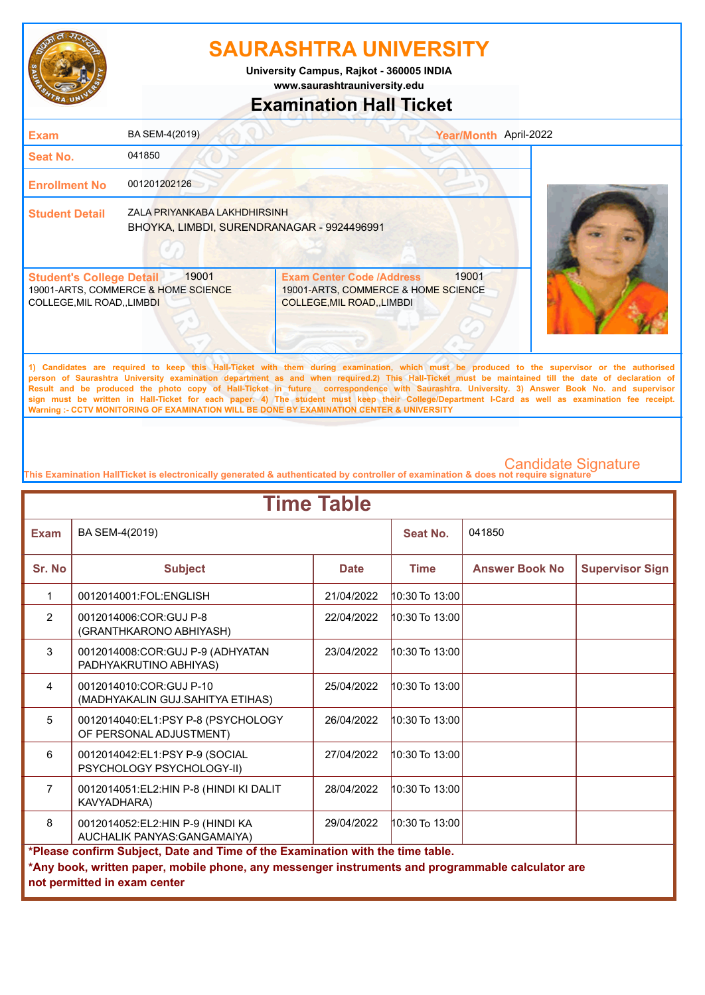

**University Campus, Rajkot - 360005 INDIA**

**www.saurashtrauniversity.edu**

### **Examination Hall Ticket**

| <b>Exam</b>                                                                                                   | BA SEM-4(2019)                                                             |                                                                                                                | Year/Month April-2022 |
|---------------------------------------------------------------------------------------------------------------|----------------------------------------------------------------------------|----------------------------------------------------------------------------------------------------------------|-----------------------|
| <b>Seat No.</b>                                                                                               | 041850                                                                     |                                                                                                                |                       |
| <b>Enrollment No</b>                                                                                          | 001201202126                                                               |                                                                                                                |                       |
| <b>Student Detail</b>                                                                                         | ZALA PRIYANKABA LAKHDHIRSINH<br>BHOYKA, LIMBDI, SURENDRANAGAR - 9924496991 |                                                                                                                |                       |
| 19001<br><b>Student's College Detail</b><br>19001-ARTS, COMMERCE & HOME SCIENCE<br>COLLEGE, MIL ROAD,, LIMBDI |                                                                            | 19001<br><b>Exam Center Code /Address</b><br>19001-ARTS, COMMERCE & HOME SCIENCE<br>COLLEGE, MIL ROAD,, LIMBDI |                       |

**1) Candidates are required to keep this Hall-Ticket with them during examination, which must be produced to the supervisor or the authorised person of Saurashtra University examination department as and when required.2) This Hall-Ticket must be maintained till the date of declaration of Result and be produced the photo copy of Hall-Ticket in future correspondence with Saurashtra. University. 3) Answer Book No. and supervisor sign must be written in Hall-Ticket for each paper. 4) The student must keep their College/Department I-Card as well as examination fee receipt. Warning :- CCTV MONITORING OF EXAMINATION WILL BE DONE BY EXAMINATION CENTER & UNIVERSITY**

| <b>Time Table</b> |                                                                                                                                                                                                                     |             |                    |                       |                        |  |
|-------------------|---------------------------------------------------------------------------------------------------------------------------------------------------------------------------------------------------------------------|-------------|--------------------|-----------------------|------------------------|--|
| <b>Exam</b>       | BA SEM-4(2019)                                                                                                                                                                                                      |             | Seat No.           | 041850                |                        |  |
| Sr. No            | <b>Subject</b>                                                                                                                                                                                                      | <b>Date</b> | <b>Time</b>        | <b>Answer Book No</b> | <b>Supervisor Sign</b> |  |
| 1                 | 0012014001:FOL:ENGLISH                                                                                                                                                                                              | 21/04/2022  | 10:30 To 13:00     |                       |                        |  |
| $\overline{2}$    | 0012014006:COR:GUJ P-8<br>(GRANTHKARONO ABHIYASH)                                                                                                                                                                   | 22/04/2022  | 10:30 To 13:00     |                       |                        |  |
| 3                 | 0012014008:COR:GUJ P-9 (ADHYATAN<br>PADHYAKRUTINO ABHIYAS)                                                                                                                                                          | 23/04/2022  | $10:30$ To $13:00$ |                       |                        |  |
| $\overline{4}$    | 0012014010:COR:GUJ P-10<br>(MADHYAKALIN GUJ.SAHITYA ETIHAS)                                                                                                                                                         | 25/04/2022  | $10:30$ To $13:00$ |                       |                        |  |
| 5                 | 0012014040:EL1:PSY P-8 (PSYCHOLOGY<br>OF PERSONAL ADJUSTMENT)                                                                                                                                                       | 26/04/2022  | $10:30$ To $13:00$ |                       |                        |  |
| 6                 | 0012014042:EL1:PSY P-9 (SOCIAL<br>PSYCHOLOGY PSYCHOLOGY-II)                                                                                                                                                         | 27/04/2022  | 10:30 To 13:00     |                       |                        |  |
| $\overline{7}$    | 0012014051:EL2:HIN P-8 (HINDI KI DALIT<br>KAVYADHARA)                                                                                                                                                               | 28/04/2022  | $10:30$ To $13:00$ |                       |                        |  |
| 8                 | 0012014052:EL2:HIN P-9 (HINDI KA<br>AUCHALIK PANYAS: GANGAMAIYA)                                                                                                                                                    | 29/04/2022  | 10:30 To 13:00     |                       |                        |  |
|                   | *Please confirm Subject, Date and Time of the Examination with the time table.<br>*Any book, written paper, mobile phone, any messenger instruments and programmable calculator are<br>not permitted in exam center |             |                    |                       |                        |  |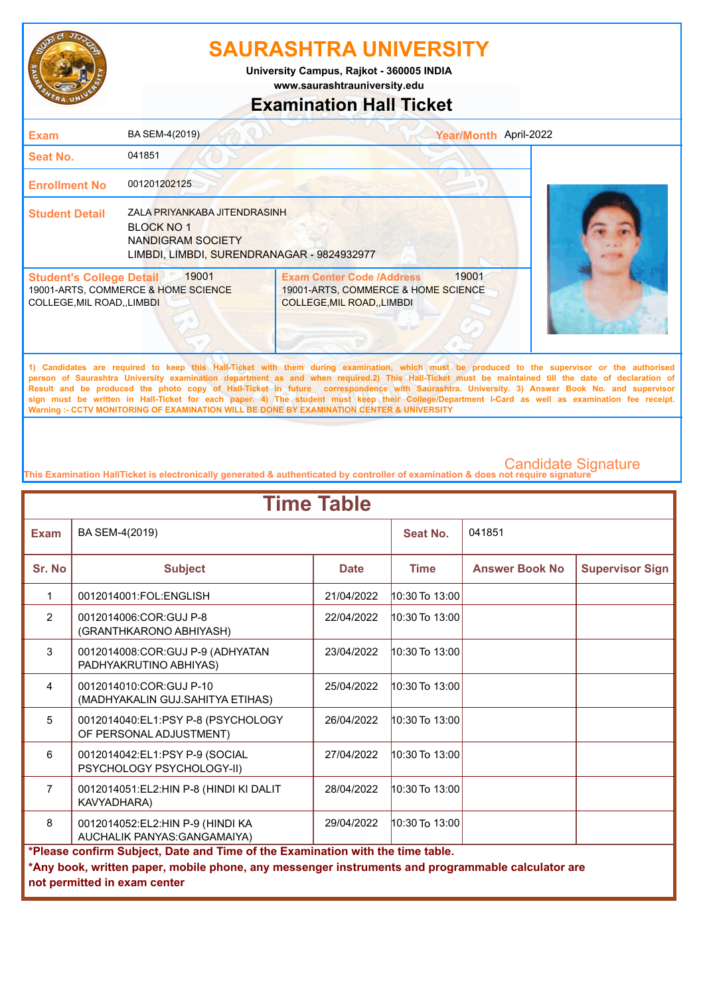

**www.saurashtrauniversity.edu University Campus, Rajkot - 360005 INDIA**

### **Examination Hall Ticket**

| <b>Exam</b>                                                          | BA SEM-4(2019)                                                                                                       | Year/Month April-2022                                                                                                |  |
|----------------------------------------------------------------------|----------------------------------------------------------------------------------------------------------------------|----------------------------------------------------------------------------------------------------------------------|--|
| <b>Seat No.</b>                                                      | 041851                                                                                                               |                                                                                                                      |  |
| <b>Enrollment No</b>                                                 | 001201202125                                                                                                         |                                                                                                                      |  |
| <b>Student Detail</b>                                                | ZALA PRIYANKABA JITENDRASINH<br><b>BLOCK NO 1</b><br>NANDIGRAM SOCIETY<br>LIMBDI, LIMBDI, SURENDRANAGAR - 9824932977 |                                                                                                                      |  |
| <b>Student's College Detail</b><br><b>COLLEGE, MIL ROAD,, LIMBDI</b> | 19001<br>19001-ARTS, COMMERCE & HOME SCIENCE                                                                         | <b>Exam Center Code /Address</b><br>19001<br>19001-ARTS, COMMERCE & HOME SCIENCE<br><b>COLLEGE, MIL ROAD, LIMBDI</b> |  |

**1) Candidates are required to keep this Hall-Ticket with them during examination, which must be produced to the supervisor or the authorised person of Saurashtra University examination department as and when required.2) This Hall-Ticket must be maintained till the date of declaration of Result and be produced the photo copy of Hall-Ticket in future correspondence with Saurashtra. University. 3) Answer Book No. and supervisor sign must be written in Hall-Ticket for each paper. 4) The student must keep their College/Department I-Card as well as examination fee receipt. Warning :- CCTV MONITORING OF EXAMINATION WILL BE DONE BY EXAMINATION CENTER & UNIVERSITY**

| <b>Time Table</b> |                                                                                                                                                                                                                     |             |                    |                       |                        |  |
|-------------------|---------------------------------------------------------------------------------------------------------------------------------------------------------------------------------------------------------------------|-------------|--------------------|-----------------------|------------------------|--|
| <b>Exam</b>       | BA SEM-4(2019)                                                                                                                                                                                                      |             | Seat No.           | 041851                |                        |  |
| Sr. No            | <b>Subject</b>                                                                                                                                                                                                      | <b>Date</b> | <b>Time</b>        | <b>Answer Book No</b> | <b>Supervisor Sign</b> |  |
| 1                 | 0012014001:FOL:ENGLISH                                                                                                                                                                                              | 21/04/2022  | 10:30 To 13:00     |                       |                        |  |
| $\overline{2}$    | 0012014006:COR:GUJ P-8<br>(GRANTHKARONO ABHIYASH)                                                                                                                                                                   | 22/04/2022  | 10:30 To 13:00     |                       |                        |  |
| 3                 | 0012014008:COR:GUJ P-9 (ADHYATAN<br>PADHYAKRUTINO ABHIYAS)                                                                                                                                                          | 23/04/2022  | $10:30$ To $13:00$ |                       |                        |  |
| $\overline{4}$    | 0012014010:COR:GUJ P-10<br>(MADHYAKALIN GUJ.SAHITYA ETIHAS)                                                                                                                                                         | 25/04/2022  | $10:30$ To $13:00$ |                       |                        |  |
| 5                 | 0012014040:EL1:PSY P-8 (PSYCHOLOGY<br>OF PERSONAL ADJUSTMENT)                                                                                                                                                       | 26/04/2022  | $10:30$ To $13:00$ |                       |                        |  |
| 6                 | 0012014042:EL1:PSY P-9 (SOCIAL<br>PSYCHOLOGY PSYCHOLOGY-II)                                                                                                                                                         | 27/04/2022  | $10:30$ To $13:00$ |                       |                        |  |
| $\overline{7}$    | 0012014051:EL2:HIN P-8 (HINDI KI DALIT<br>KAVYADHARA)                                                                                                                                                               | 28/04/2022  | $10:30$ To $13:00$ |                       |                        |  |
| 8                 | 0012014052:EL2:HIN P-9 (HINDI KA<br>AUCHALIK PANYAS: GANGAMAIYA)                                                                                                                                                    | 29/04/2022  | $10:30$ To $13:00$ |                       |                        |  |
|                   | *Please confirm Subject, Date and Time of the Examination with the time table.<br>*Any book, written paper, mobile phone, any messenger instruments and programmable calculator are<br>not permitted in exam center |             |                    |                       |                        |  |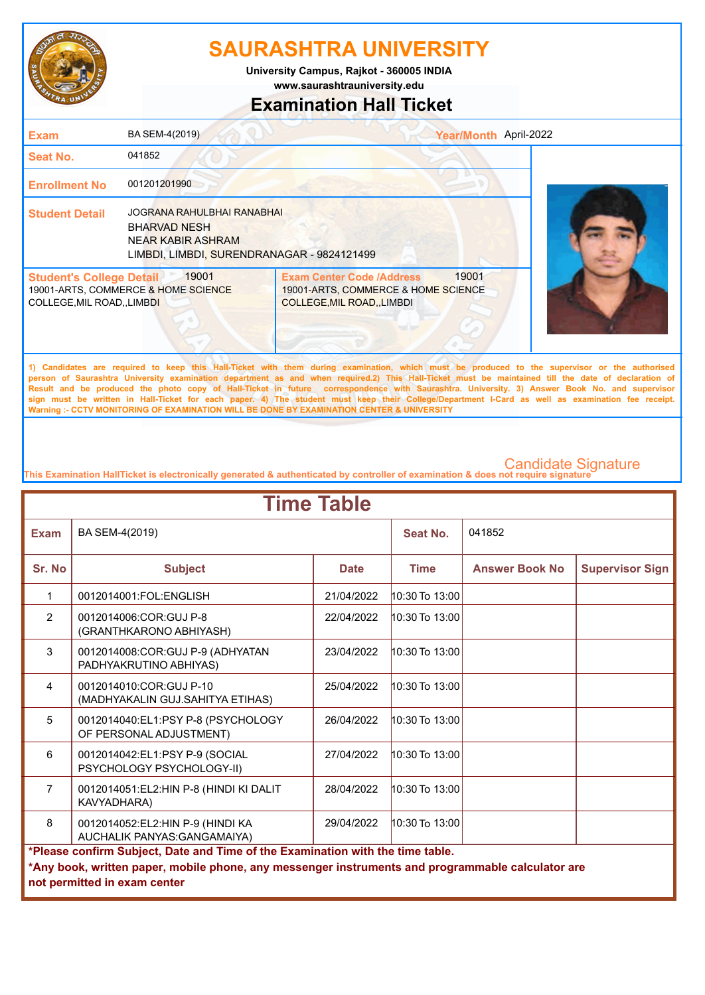

**www.saurashtrauniversity.edu University Campus, Rajkot - 360005 INDIA**

### **Examination Hall Ticket**

| <b>Exam</b>                                                    | BA SEM-4(2019)                                                                                                              |                                                                                                             | Year/Month April-2022 |  |
|----------------------------------------------------------------|-----------------------------------------------------------------------------------------------------------------------------|-------------------------------------------------------------------------------------------------------------|-----------------------|--|
| <b>Seat No.</b>                                                | 041852                                                                                                                      |                                                                                                             |                       |  |
| <b>Enrollment No</b>                                           | 001201201990                                                                                                                |                                                                                                             |                       |  |
| <b>Student Detail</b>                                          | <b>JOGRANA RAHULBHAI RANABHAI</b><br><b>BHARVAD NESH</b><br>NEAR KABIR ASHRAM<br>LIMBDI, LIMBDI, SURENDRANAGAR - 9824121499 |                                                                                                             |                       |  |
| <b>Student's College Detail</b><br>COLLEGE, MIL ROAD, , LIMBDI | 19001<br>19001-ARTS, COMMERCE & HOME SCIENCE                                                                                | <b>Exam Center Code /Address</b><br>19001-ARTS, COMMERCE & HOME SCIENCE<br><b>COLLEGE, MIL ROAD, LIMBDI</b> | 19001                 |  |
|                                                                |                                                                                                                             |                                                                                                             |                       |  |

**1) Candidates are required to keep this Hall-Ticket with them during examination, which must be produced to the supervisor or the authorised person of Saurashtra University examination department as and when required.2) This Hall-Ticket must be maintained till the date of declaration of Result and be produced the photo copy of Hall-Ticket in future correspondence with Saurashtra. University. 3) Answer Book No. and supervisor sign must be written in Hall-Ticket for each paper. 4) The student must keep their College/Department I-Card as well as examination fee receipt. Warning :- CCTV MONITORING OF EXAMINATION WILL BE DONE BY EXAMINATION CENTER & UNIVERSITY**

| <b>Time Table</b> |                                                                                                                                                                                                                     |             |                    |                       |                        |  |
|-------------------|---------------------------------------------------------------------------------------------------------------------------------------------------------------------------------------------------------------------|-------------|--------------------|-----------------------|------------------------|--|
| <b>Exam</b>       | BA SEM-4(2019)                                                                                                                                                                                                      |             | Seat No.           | 041852                |                        |  |
| Sr. No            | <b>Subject</b>                                                                                                                                                                                                      | <b>Date</b> | <b>Time</b>        | <b>Answer Book No</b> | <b>Supervisor Sign</b> |  |
| 1                 | 0012014001:FOL:ENGLISH                                                                                                                                                                                              | 21/04/2022  | $10:30$ To $13:00$ |                       |                        |  |
| $\overline{2}$    | 0012014006:COR:GUJ P-8<br>(GRANTHKARONO ABHIYASH)                                                                                                                                                                   | 22/04/2022  | 10:30 To 13:00     |                       |                        |  |
| 3                 | 0012014008:COR:GUJ P-9 (ADHYATAN<br>PADHYAKRUTINO ABHIYAS)                                                                                                                                                          | 23/04/2022  | $10:30$ To $13:00$ |                       |                        |  |
| $\overline{4}$    | 0012014010:COR:GUJ P-10<br>(MADHYAKALIN GUJ.SAHITYA ETIHAS)                                                                                                                                                         | 25/04/2022  | $10:30$ To $13:00$ |                       |                        |  |
| 5                 | 0012014040:EL1:PSY P-8 (PSYCHOLOGY<br>OF PERSONAL ADJUSTMENT)                                                                                                                                                       | 26/04/2022  | $10:30$ To $13:00$ |                       |                        |  |
| 6                 | 0012014042:EL1:PSY P-9 (SOCIAL<br>PSYCHOLOGY PSYCHOLOGY-II)                                                                                                                                                         | 27/04/2022  | $10:30$ To $13:00$ |                       |                        |  |
| $\overline{7}$    | 0012014051:EL2:HIN P-8 (HINDI KI DALIT<br>KAVYADHARA)                                                                                                                                                               | 28/04/2022  | $10:30$ To $13:00$ |                       |                        |  |
| 8                 | 0012014052:EL2:HIN P-9 (HINDI KA<br>AUCHALIK PANYAS: GANGAMAIYA)                                                                                                                                                    | 29/04/2022  | $10:30$ To $13:00$ |                       |                        |  |
|                   | *Please confirm Subject, Date and Time of the Examination with the time table.<br>*Any book, written paper, mobile phone, any messenger instruments and programmable calculator are<br>not permitted in exam center |             |                    |                       |                        |  |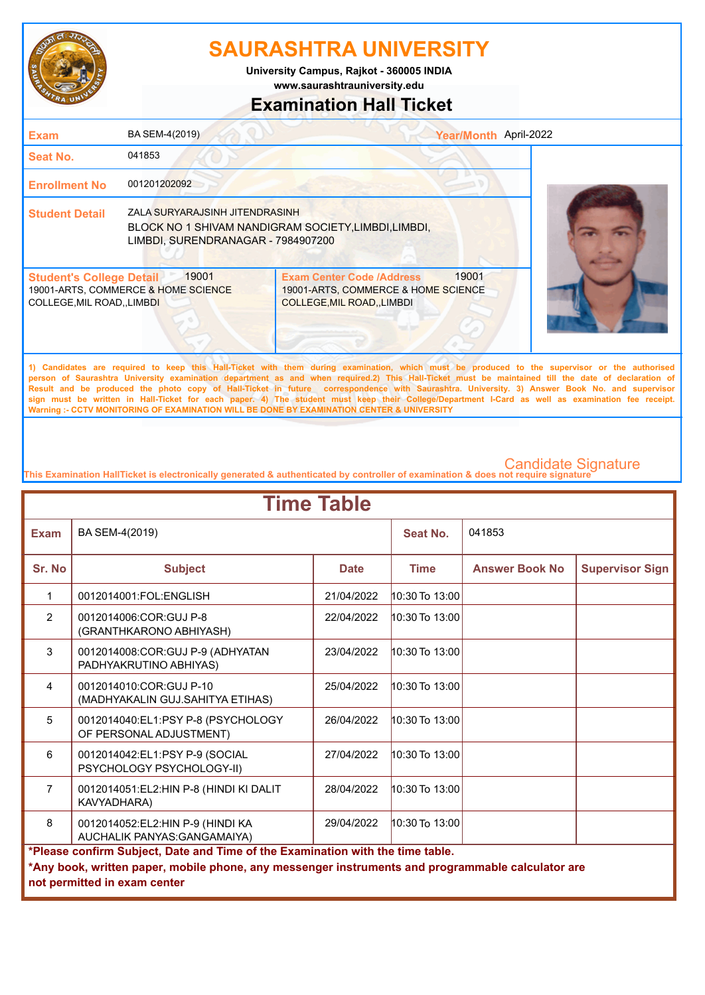

**www.saurashtrauniversity.edu University Campus, Rajkot - 360005 INDIA**

### **Examination Hall Ticket**

| <b>Exam</b>                                                    | BA SEM-4(2019)                                                       |                                                                                                                                             | April-2022<br><b>Year/Month</b> |  |
|----------------------------------------------------------------|----------------------------------------------------------------------|---------------------------------------------------------------------------------------------------------------------------------------------|---------------------------------|--|
| <b>Seat No.</b>                                                | 041853                                                               |                                                                                                                                             |                                 |  |
| <b>Enrollment No</b>                                           | 001201202092                                                         |                                                                                                                                             |                                 |  |
| <b>Student Detail</b>                                          | ZALA SURYARAJSINH JITENDRASINH<br>LIMBDI, SURENDRANAGAR - 7984907200 | BLOCK NO 1 SHIVAM NANDIGRAM SOCIETY, LIMBDI, LIMBDI,                                                                                        |                                 |  |
| <b>Student's College Detail</b><br>COLLEGE, MIL ROAD, , LIMBDI | 19001<br>19001-ARTS, COMMERCE & HOME SCIENCE                         | <b>Exam Center Code /Address</b><br>19001-ARTS, COMMERCE & HOME SCIENCE<br><b>COLLEGE, MIL ROAD, , LIMBDI</b>                               | 19001                           |  |
|                                                                |                                                                      | 1) Candidates are required to keep this Hall Ticket with them during examination which must be produced to the supervisor or the authorised |                                 |  |

**1) Candidates are required to keep this Hall-Ticket with them during examination, which must be produced to the supervisor or the authorised person of Saurashtra University examination department as and when required.2) This Hall-Ticket must be maintained till the date of declaration of Result and be produced the photo copy of Hall-Ticket in future correspondence with Saurashtra. University. 3) Answer Book No. and supervisor sign must be written in Hall-Ticket for each paper. 4) The student must keep their College/Department I-Card as well as examination fee receipt. Warning :- CCTV MONITORING OF EXAMINATION WILL BE DONE BY EXAMINATION CENTER & UNIVERSITY**

| <b>Time Table</b> |                                                                                                                                                                                                                     |             |                    |                       |                        |  |
|-------------------|---------------------------------------------------------------------------------------------------------------------------------------------------------------------------------------------------------------------|-------------|--------------------|-----------------------|------------------------|--|
| <b>Exam</b>       | BA SEM-4(2019)                                                                                                                                                                                                      |             | Seat No.           | 041853                |                        |  |
| Sr. No            | <b>Subject</b>                                                                                                                                                                                                      | <b>Date</b> | <b>Time</b>        | <b>Answer Book No</b> | <b>Supervisor Sign</b> |  |
| 1                 | 0012014001:FOL:ENGLISH                                                                                                                                                                                              | 21/04/2022  | 10:30 To 13:00     |                       |                        |  |
| $\overline{2}$    | 0012014006:COR:GUJ P-8<br>(GRANTHKARONO ABHIYASH)                                                                                                                                                                   | 22/04/2022  | 10:30 To 13:00     |                       |                        |  |
| 3                 | 0012014008:COR:GUJ P-9 (ADHYATAN<br>PADHYAKRUTINO ABHIYAS)                                                                                                                                                          | 23/04/2022  | $10:30$ To $13:00$ |                       |                        |  |
| $\overline{4}$    | 0012014010:COR:GUJ P-10<br>(MADHYAKALIN GUJ.SAHITYA ETIHAS)                                                                                                                                                         | 25/04/2022  | 10:30 To 13:00     |                       |                        |  |
| 5                 | 0012014040:EL1:PSY P-8 (PSYCHOLOGY<br>OF PERSONAL ADJUSTMENT)                                                                                                                                                       | 26/04/2022  | 10:30 To 13:00     |                       |                        |  |
| 6                 | 0012014042:EL1:PSY P-9 (SOCIAL<br>PSYCHOLOGY PSYCHOLOGY-II)                                                                                                                                                         | 27/04/2022  | 10:30 To 13:00     |                       |                        |  |
| $\overline{7}$    | 0012014051:EL2:HIN P-8 (HINDI KI DALIT<br>KAVYADHARA)                                                                                                                                                               | 28/04/2022  | 10:30 To 13:00     |                       |                        |  |
| 8                 | 0012014052:EL2:HIN P-9 (HINDI KA<br>AUCHALIK PANYAS: GANGAMAIYA)                                                                                                                                                    | 29/04/2022  | $10:30$ To $13:00$ |                       |                        |  |
|                   | *Please confirm Subject, Date and Time of the Examination with the time table.<br>*Any book, written paper, mobile phone, any messenger instruments and programmable calculator are<br>not permitted in exam center |             |                    |                       |                        |  |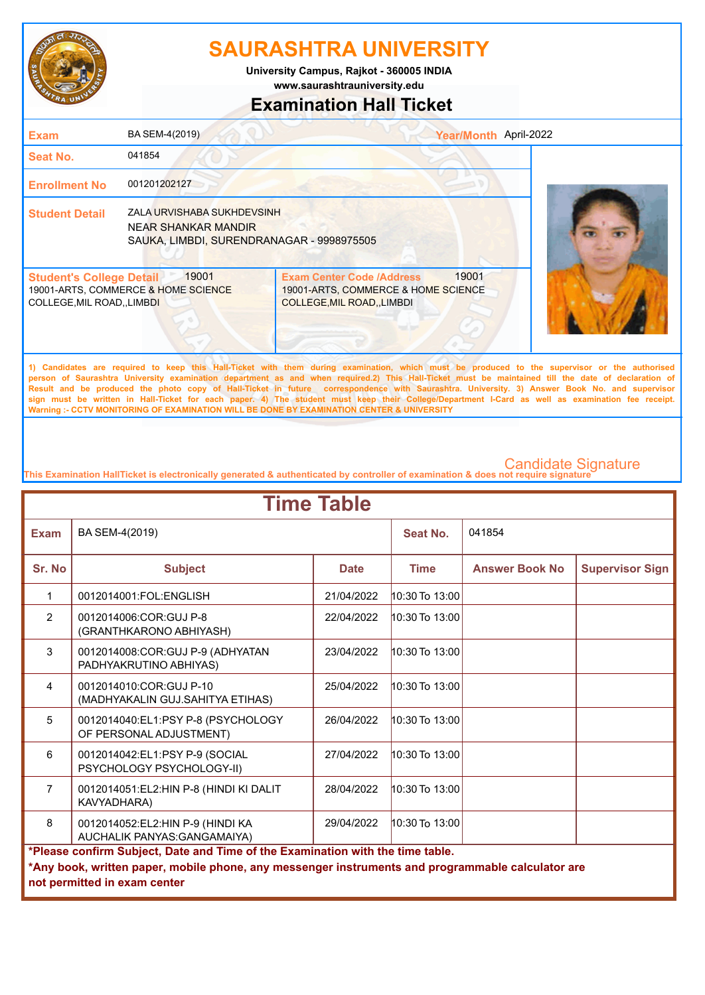

**www.saurashtrauniversity.edu University Campus, Rajkot - 360005 INDIA**

### **Examination Hall Ticket**

| <b>Exam</b>                                                                                                          | BA SEM-4(2019)                                                                                 |                                                                                                                      | Year/Month April-2022 |
|----------------------------------------------------------------------------------------------------------------------|------------------------------------------------------------------------------------------------|----------------------------------------------------------------------------------------------------------------------|-----------------------|
| <b>Seat No.</b>                                                                                                      | 041854                                                                                         |                                                                                                                      |                       |
| <b>Enrollment No</b>                                                                                                 | 001201202127                                                                                   |                                                                                                                      |                       |
| <b>Student Detail</b>                                                                                                | ZALA URVISHABA SUKHDEVSINH<br>NEAR SHANKAR MANDIR<br>SAUKA, LIMBDI, SURENDRANAGAR - 9998975505 |                                                                                                                      |                       |
| 19001<br><b>Student's College Detail</b><br>19001-ARTS, COMMERCE & HOME SCIENCE<br><b>COLLEGE, MIL ROAD,, LIMBDI</b> |                                                                                                | 19001<br><b>Exam Center Code /Address</b><br>19001-ARTS, COMMERCE & HOME SCIENCE<br><b>COLLEGE, MIL ROAD, LIMBDI</b> |                       |

**1) Candidates are required to keep this Hall-Ticket with them during examination, which must be produced to the supervisor or the authorised person of Saurashtra University examination department as and when required.2) This Hall-Ticket must be maintained till the date of declaration of Result and be produced the photo copy of Hall-Ticket in future correspondence with Saurashtra. University. 3) Answer Book No. and supervisor sign must be written in Hall-Ticket for each paper. 4) The student must keep their College/Department I-Card as well as examination fee receipt. Warning :- CCTV MONITORING OF EXAMINATION WILL BE DONE BY EXAMINATION CENTER & UNIVERSITY**

| <b>Time Table</b> |                                                                                                                                                                                                                     |             |                    |                       |                        |  |
|-------------------|---------------------------------------------------------------------------------------------------------------------------------------------------------------------------------------------------------------------|-------------|--------------------|-----------------------|------------------------|--|
| <b>Exam</b>       | BA SEM-4(2019)                                                                                                                                                                                                      |             | Seat No.           | 041854                |                        |  |
| Sr. No            | <b>Subject</b>                                                                                                                                                                                                      | <b>Date</b> | <b>Time</b>        | <b>Answer Book No</b> | <b>Supervisor Sign</b> |  |
| 1                 | 0012014001:FOL:ENGLISH                                                                                                                                                                                              | 21/04/2022  | 10:30 To 13:00     |                       |                        |  |
| $\overline{2}$    | 0012014006:COR:GUJ P-8<br>(GRANTHKARONO ABHIYASH)                                                                                                                                                                   | 22/04/2022  | 10:30 To 13:00     |                       |                        |  |
| 3                 | 0012014008:COR:GUJ P-9 (ADHYATAN<br>PADHYAKRUTINO ABHIYAS)                                                                                                                                                          | 23/04/2022  | $10:30$ To $13:00$ |                       |                        |  |
| $\overline{4}$    | 0012014010:COR:GUJ P-10<br>(MADHYAKALIN GUJ.SAHITYA ETIHAS)                                                                                                                                                         | 25/04/2022  | $10:30$ To $13:00$ |                       |                        |  |
| 5                 | 0012014040:EL1:PSY P-8 (PSYCHOLOGY<br>OF PERSONAL ADJUSTMENT)                                                                                                                                                       | 26/04/2022  | $10:30$ To $13:00$ |                       |                        |  |
| 6                 | 0012014042:EL1:PSY P-9 (SOCIAL<br>PSYCHOLOGY PSYCHOLOGY-II)                                                                                                                                                         | 27/04/2022  | $10:30$ To $13:00$ |                       |                        |  |
| $\overline{7}$    | 0012014051:EL2:HIN P-8 (HINDI KI DALIT<br>KAVYADHARA)                                                                                                                                                               | 28/04/2022  | $10:30$ To $13:00$ |                       |                        |  |
| 8                 | 0012014052:EL2:HIN P-9 (HINDI KA<br>AUCHALIK PANYAS: GANGAMAIYA)                                                                                                                                                    | 29/04/2022  | 10:30 To 13:00     |                       |                        |  |
|                   | *Please confirm Subject, Date and Time of the Examination with the time table.<br>*Any book, written paper, mobile phone, any messenger instruments and programmable calculator are<br>not permitted in exam center |             |                    |                       |                        |  |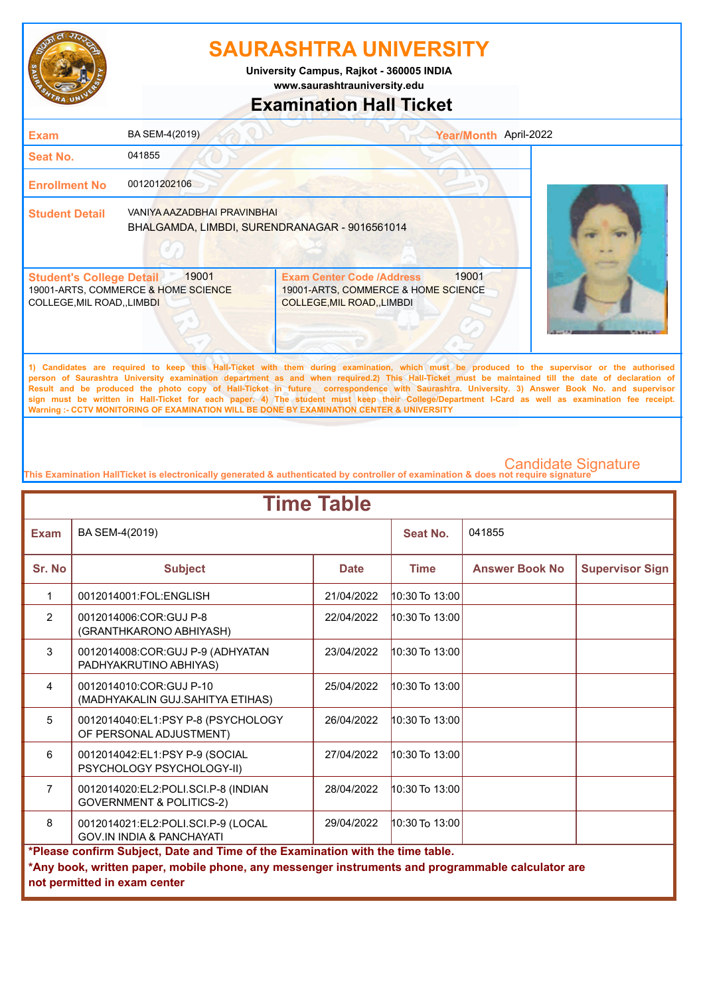

**www.saurashtrauniversity.edu University Campus, Rajkot - 360005 INDIA**

### **Examination Hall Ticket**

| 041855<br><b>Seat No.</b><br>001201202106<br><b>Enrollment No</b><br>VANIYA AAZADBHAI PRAVINBHAI<br><b>Student Detail</b><br>BHALGAMDA, LIMBDI, SURENDRANAGAR - 9016561014                                                             | <b>Exam</b> | BA SEM-4(2019) | Year/Month April-2022 |  |
|----------------------------------------------------------------------------------------------------------------------------------------------------------------------------------------------------------------------------------------|-------------|----------------|-----------------------|--|
|                                                                                                                                                                                                                                        |             |                |                       |  |
|                                                                                                                                                                                                                                        |             |                |                       |  |
|                                                                                                                                                                                                                                        |             |                |                       |  |
| 19001<br>19001<br><b>Exam Center Code /Address</b><br><b>Student's College Detail</b><br>19001-ARTS, COMMERCE & HOME SCIENCE<br>19001-ARTS, COMMERCE & HOME SCIENCE<br>COLLEGE, MIL ROAD, , LIMBDI<br><b>COLLEGE, MIL ROAD, LIMBDI</b> |             |                |                       |  |

**1) Candidates are required to keep this Hall-Ticket with them during examination, which must be produced to the supervisor or the authorised person of Saurashtra University examination department as and when required.2) This Hall-Ticket must be maintained till the date of declaration of Result and be produced the photo copy of Hall-Ticket in future correspondence with Saurashtra. University. 3) Answer Book No. and supervisor sign must be written in Hall-Ticket for each paper. 4) The student must keep their College/Department I-Card as well as examination fee receipt. Warning :- CCTV MONITORING OF EXAMINATION WILL BE DONE BY EXAMINATION CENTER & UNIVERSITY**

| <b>Time Table</b> |                                                                                                                                                                                                                     |             |                    |                       |                        |  |
|-------------------|---------------------------------------------------------------------------------------------------------------------------------------------------------------------------------------------------------------------|-------------|--------------------|-----------------------|------------------------|--|
| <b>Exam</b>       | BA SEM-4(2019)                                                                                                                                                                                                      |             | <b>Seat No.</b>    | 041855                |                        |  |
| Sr. No            | <b>Subject</b>                                                                                                                                                                                                      | <b>Date</b> | <b>Time</b>        | <b>Answer Book No</b> | <b>Supervisor Sign</b> |  |
| 1                 | 0012014001:FOL:ENGLISH                                                                                                                                                                                              | 21/04/2022  | 10:30 To 13:00     |                       |                        |  |
| $\overline{2}$    | 0012014006:COR:GUJ P-8<br>(GRANTHKARONO ABHIYASH)                                                                                                                                                                   | 22/04/2022  | $10:30$ To $13:00$ |                       |                        |  |
| 3                 | 0012014008:COR:GUJ P-9 (ADHYATAN<br>PADHYAKRUTINO ABHIYAS)                                                                                                                                                          | 23/04/2022  | 10:30 To 13:00     |                       |                        |  |
| 4                 | 0012014010:COR:GUJ P-10<br>(MADHYAKALIN GUJ.SAHITYA ETIHAS)                                                                                                                                                         | 25/04/2022  | $10:30$ To $13:00$ |                       |                        |  |
| 5                 | 0012014040:EL1:PSY P-8 (PSYCHOLOGY<br>OF PERSONAL ADJUSTMENT)                                                                                                                                                       | 26/04/2022  | $10:30$ To $13:00$ |                       |                        |  |
| 6                 | 0012014042:EL1:PSY P-9 (SOCIAL<br>PSYCHOLOGY PSYCHOLOGY-II)                                                                                                                                                         | 27/04/2022  | $10:30$ To $13:00$ |                       |                        |  |
| $\overline{7}$    | 0012014020:EL2:POLI.SCI.P-8 (INDIAN<br><b>GOVERNMENT &amp; POLITICS-2)</b>                                                                                                                                          | 28/04/2022  | $10:30$ To $13:00$ |                       |                        |  |
| $\mathsf{R}$      | 0012014021:EL2:POLI.SCI.P-9 (LOCAL<br><b>GOV.IN INDIA &amp; PANCHAYATI</b>                                                                                                                                          | 29/04/2022  | $10:30$ To $13:00$ |                       |                        |  |
|                   | *Please confirm Subject, Date and Time of the Examination with the time table.<br>*Any book, written paper, mobile phone, any messenger instruments and programmable calculator are<br>not permitted in exam center |             |                    |                       |                        |  |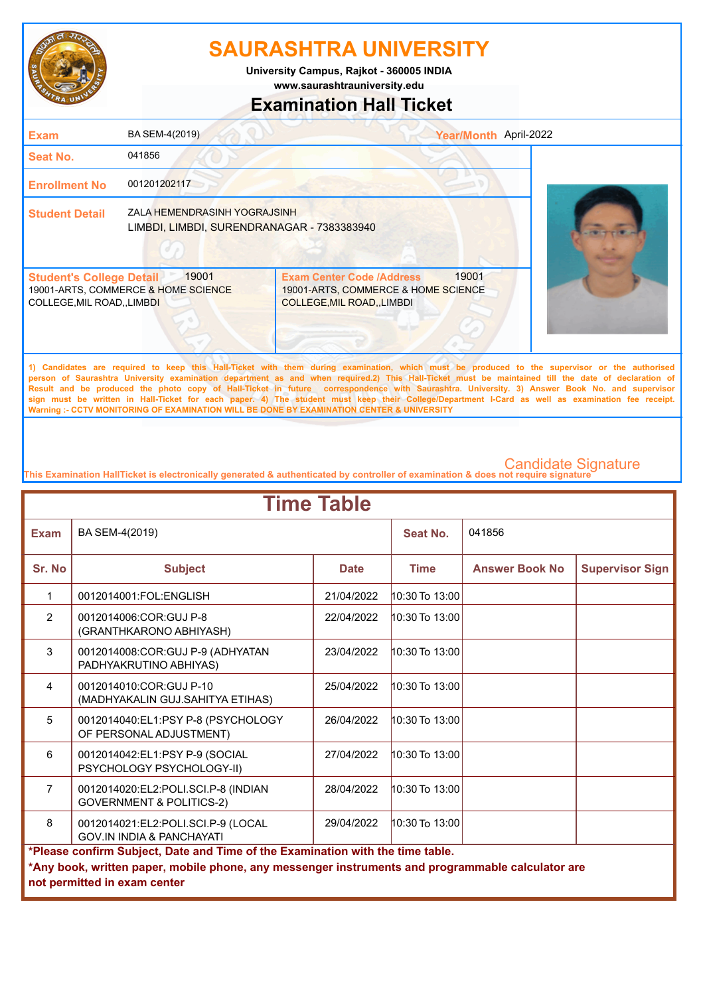

**University Campus, Rajkot - 360005 INDIA**

### **www.saurashtrauniversity.edu**

### **Examination Hall Ticket**

| <b>Exam</b>                                                          | BA SEM-4(2019)                                                             |                                                                                                             | Year/Month April-2022 |
|----------------------------------------------------------------------|----------------------------------------------------------------------------|-------------------------------------------------------------------------------------------------------------|-----------------------|
| <b>Seat No.</b>                                                      | 041856                                                                     |                                                                                                             |                       |
| <b>Enrollment No</b>                                                 | 001201202117                                                               |                                                                                                             |                       |
| <b>Student Detail</b>                                                | ZALA HEMENDRASINH YOGRAJSINH<br>LIMBDI, LIMBDI, SURENDRANAGAR - 7383383940 |                                                                                                             |                       |
| <b>Student's College Detail</b><br><b>COLLEGE, MIL ROAD,, LIMBDI</b> | 19001<br>19001-ARTS, COMMERCE & HOME SCIENCE                               | <b>Exam Center Code /Address</b><br>19001-ARTS, COMMERCE & HOME SCIENCE<br><b>COLLEGE, MIL ROAD, LIMBDI</b> | 19001                 |

**1) Candidates are required to keep this Hall-Ticket with them during examination, which must be produced to the supervisor or the authorised person of Saurashtra University examination department as and when required.2) This Hall-Ticket must be maintained till the date of declaration of Result and be produced the photo copy of Hall-Ticket in future correspondence with Saurashtra. University. 3) Answer Book No. and supervisor sign must be written in Hall-Ticket for each paper. 4) The student must keep their College/Department I-Card as well as examination fee receipt. Warning :- CCTV MONITORING OF EXAMINATION WILL BE DONE BY EXAMINATION CENTER & UNIVERSITY**

| <b>Time Table</b>                                                                                                                                                                                                   |                                                                            |             |                    |                       |                        |  |
|---------------------------------------------------------------------------------------------------------------------------------------------------------------------------------------------------------------------|----------------------------------------------------------------------------|-------------|--------------------|-----------------------|------------------------|--|
| <b>Exam</b>                                                                                                                                                                                                         | BA SEM-4(2019)                                                             |             | <b>Seat No.</b>    | 041856                |                        |  |
| Sr. No                                                                                                                                                                                                              | <b>Subject</b>                                                             | <b>Date</b> | <b>Time</b>        | <b>Answer Book No</b> | <b>Supervisor Sign</b> |  |
| 1                                                                                                                                                                                                                   | 0012014001:FOL:ENGLISH                                                     | 21/04/2022  | 10:30 To 13:00     |                       |                        |  |
| $\overline{2}$                                                                                                                                                                                                      | 0012014006:COR:GUJ P-8<br>(GRANTHKARONO ABHIYASH)                          | 22/04/2022  | $10:30$ To $13:00$ |                       |                        |  |
| 3                                                                                                                                                                                                                   | 0012014008:COR:GUJ P-9 (ADHYATAN<br>PADHYAKRUTINO ABHIYAS)                 | 23/04/2022  | 10:30 To 13:00     |                       |                        |  |
| 4                                                                                                                                                                                                                   | 0012014010:COR:GUJ P-10<br>(MADHYAKALIN GUJ.SAHITYA ETIHAS)                | 25/04/2022  | $10:30$ To $13:00$ |                       |                        |  |
| 5                                                                                                                                                                                                                   | 0012014040:EL1:PSY P-8 (PSYCHOLOGY<br>OF PERSONAL ADJUSTMENT)              | 26/04/2022  | $10:30$ To $13:00$ |                       |                        |  |
| 6                                                                                                                                                                                                                   | 0012014042:EL1:PSY P-9 (SOCIAL<br>PSYCHOLOGY PSYCHOLOGY-II)                | 27/04/2022  | $10:30$ To $13:00$ |                       |                        |  |
| $\overline{7}$                                                                                                                                                                                                      | 0012014020:EL2:POLI.SCI.P-8 (INDIAN<br><b>GOVERNMENT &amp; POLITICS-2)</b> | 28/04/2022  | $10:30$ To $13:00$ |                       |                        |  |
| $\mathsf{R}$                                                                                                                                                                                                        | 0012014021:EL2:POLI.SCI.P-9 (LOCAL<br><b>GOV.IN INDIA &amp; PANCHAYATI</b> | 29/04/2022  | $10:30$ To $13:00$ |                       |                        |  |
| *Please confirm Subject, Date and Time of the Examination with the time table.<br>*Any book, written paper, mobile phone, any messenger instruments and programmable calculator are<br>not permitted in exam center |                                                                            |             |                    |                       |                        |  |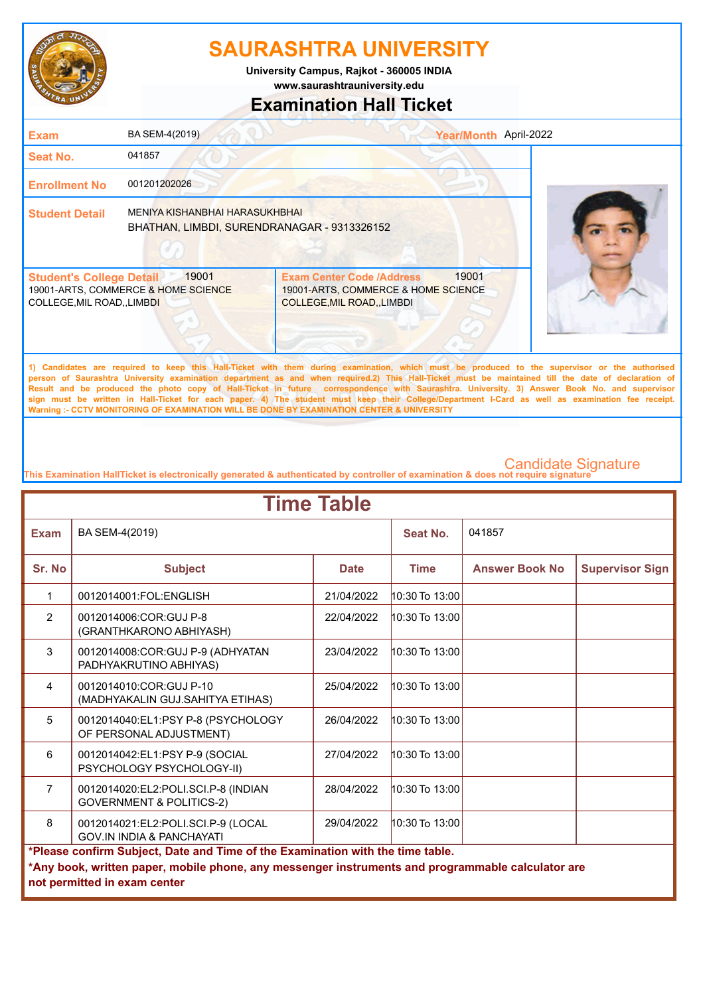

**www.saurashtrauniversity.edu University Campus, Rajkot - 360005 INDIA**

# **Examination Hall Ticket**

## 19001-ARTS, COMMERCE & HOME SCIENCE COLLEGE,MIL ROAD,,LIMBDI 19001-ARTS, COMMERCE & HOME SCIENCE COLLEGE,MIL ROAD,,LIMBDI **Student's College Detail | 19001 Student Detail** MENIYA KISHANBHAI HARASUKHBHAI **Enrollment No** 001201202026 **Seat No.** 041857 **Exam** BA SEM-4(2019) **Year/Month** April-2022 Exam Center Code /Address 19001 BHATHAN, LIMBDI, SURENDRANAGAR - 9313326152

**1) Candidates are required to keep this Hall-Ticket with them during examination, which must be produced to the supervisor or the authorised person of Saurashtra University examination department as and when required.2) This Hall-Ticket must be maintained till the date of declaration of Result and be produced the photo copy of Hall-Ticket in future correspondence with Saurashtra. University. 3) Answer Book No. and supervisor sign must be written in Hall-Ticket for each paper. 4) The student must keep their College/Department I-Card as well as examination fee receipt. Warning :- CCTV MONITORING OF EXAMINATION WILL BE DONE BY EXAMINATION CENTER & UNIVERSITY**

| <b>Time Table</b>                                                                                                                                                                                                   |                                                                            |             |                    |                       |                        |  |
|---------------------------------------------------------------------------------------------------------------------------------------------------------------------------------------------------------------------|----------------------------------------------------------------------------|-------------|--------------------|-----------------------|------------------------|--|
| Exam                                                                                                                                                                                                                | BA SEM-4(2019)                                                             |             | Seat No.           | 041857                |                        |  |
| Sr. No                                                                                                                                                                                                              | <b>Subject</b>                                                             | <b>Date</b> | <b>Time</b>        | <b>Answer Book No</b> | <b>Supervisor Sign</b> |  |
| 1                                                                                                                                                                                                                   | 0012014001:FOL:ENGLISH                                                     | 21/04/2022  | 10:30 To 13:00     |                       |                        |  |
| $\overline{2}$                                                                                                                                                                                                      | 0012014006:COR:GUJ P-8<br>(GRANTHKARONO ABHIYASH)                          | 22/04/2022  | 10:30 To 13:00     |                       |                        |  |
| 3                                                                                                                                                                                                                   | 0012014008:COR:GUJ P-9 (ADHYATAN<br>PADHYAKRUTINO ABHIYAS)                 | 23/04/2022  | 10:30 To 13:00     |                       |                        |  |
| $\overline{4}$                                                                                                                                                                                                      | 0012014010:COR:GUJ P-10<br>(MADHYAKALIN GUJ.SAHITYA ETIHAS)                | 25/04/2022  | $10:30$ To $13:00$ |                       |                        |  |
| 5                                                                                                                                                                                                                   | 0012014040:EL1:PSY P-8 (PSYCHOLOGY<br>OF PERSONAL ADJUSTMENT)              | 26/04/2022  | 10:30 To 13:00     |                       |                        |  |
| 6                                                                                                                                                                                                                   | 0012014042:EL1:PSY P-9 (SOCIAL<br>PSYCHOLOGY PSYCHOLOGY-II)                | 27/04/2022  | $10:30$ To $13:00$ |                       |                        |  |
| $\overline{7}$                                                                                                                                                                                                      | 0012014020:EL2:POLI.SCI.P-8 (INDIAN<br><b>GOVERNMENT &amp; POLITICS-2)</b> | 28/04/2022  | $10:30$ To $13:00$ |                       |                        |  |
| 8                                                                                                                                                                                                                   | 0012014021:EL2:POLI.SCI.P-9 (LOCAL<br><b>GOV.IN INDIA &amp; PANCHAYATI</b> | 29/04/2022  | $10:30$ To $13:00$ |                       |                        |  |
| *Please confirm Subject, Date and Time of the Examination with the time table.<br>*Any book, written paper, mobile phone, any messenger instruments and programmable calculator are<br>not permitted in exam center |                                                                            |             |                    |                       |                        |  |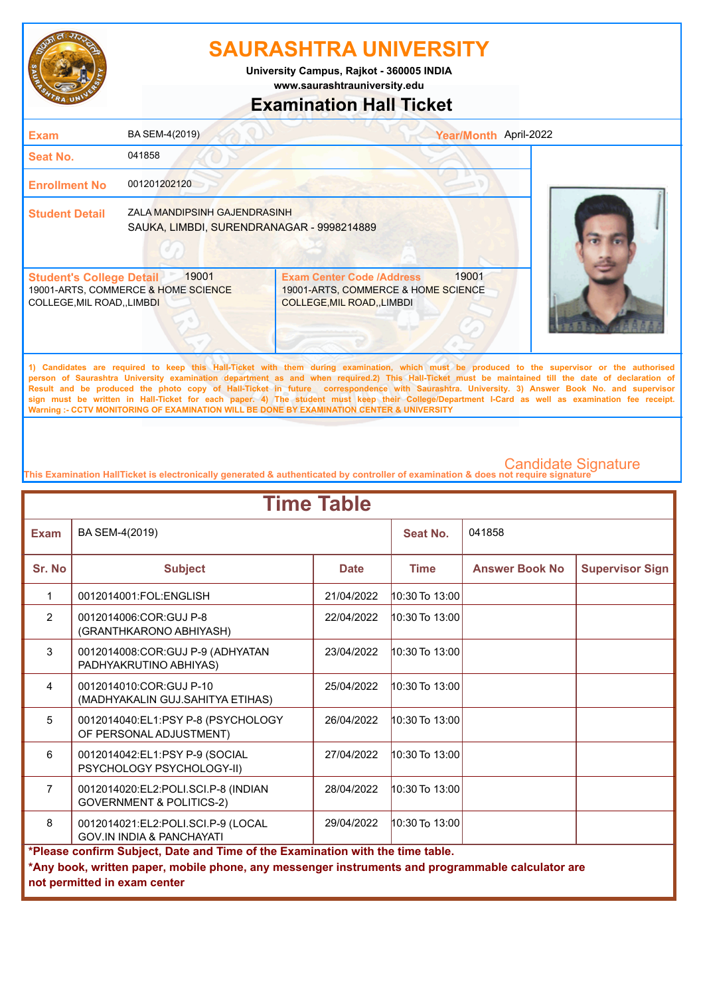

**University Campus, Rajkot - 360005 INDIA**

**www.saurashtrauniversity.edu**

### **Examination Hall Ticket**

| <b>Exam</b>                                                          | BA SEM-4(2019)                                                            |                                                                                                             | Year/Month April-2022 |  |
|----------------------------------------------------------------------|---------------------------------------------------------------------------|-------------------------------------------------------------------------------------------------------------|-----------------------|--|
| Seat No.                                                             | 041858                                                                    |                                                                                                             |                       |  |
| <b>Enrollment No</b>                                                 | 001201202120                                                              |                                                                                                             |                       |  |
| <b>Student Detail</b>                                                | ZALA MANDIPSINH GAJENDRASINH<br>SAUKA, LIMBDI, SURENDRANAGAR - 9998214889 |                                                                                                             |                       |  |
| <b>Student's College Detail</b><br><b>COLLEGE, MIL ROAD,, LIMBDI</b> | 19001<br>19001-ARTS, COMMERCE & HOME SCIENCE                              | <b>Exam Center Code /Address</b><br>19001-ARTS, COMMERCE & HOME SCIENCE<br><b>COLLEGE, MIL ROAD, LIMBDI</b> | 19001                 |  |
|                                                                      |                                                                           |                                                                                                             |                       |  |

**1) Candidates are required to keep this Hall-Ticket with them during examination, which must be produced to the supervisor or the authorised person of Saurashtra University examination department as and when required.2) This Hall-Ticket must be maintained till the date of declaration of Result and be produced the photo copy of Hall-Ticket in future correspondence with Saurashtra. University. 3) Answer Book No. and supervisor sign must be written in Hall-Ticket for each paper. 4) The student must keep their College/Department I-Card as well as examination fee receipt. Warning :- CCTV MONITORING OF EXAMINATION WILL BE DONE BY EXAMINATION CENTER & UNIVERSITY**

| <b>Time Table</b>                                                                                                                                                                                                   |                                                                            |             |                    |                       |                        |  |
|---------------------------------------------------------------------------------------------------------------------------------------------------------------------------------------------------------------------|----------------------------------------------------------------------------|-------------|--------------------|-----------------------|------------------------|--|
| <b>Exam</b>                                                                                                                                                                                                         | BA SEM-4(2019)                                                             |             | Seat No.           | 041858                |                        |  |
| Sr. No                                                                                                                                                                                                              | <b>Subject</b>                                                             | <b>Date</b> | <b>Time</b>        | <b>Answer Book No</b> | <b>Supervisor Sign</b> |  |
| 1                                                                                                                                                                                                                   | 0012014001:FOL:ENGLISH                                                     | 21/04/2022  | $10:30$ To $13:00$ |                       |                        |  |
| $\overline{2}$                                                                                                                                                                                                      | 0012014006:COR:GUJ P-8<br>(GRANTHKARONO ABHIYASH)                          | 22/04/2022  | 10:30 To 13:00     |                       |                        |  |
| 3                                                                                                                                                                                                                   | 0012014008:COR:GUJ P-9 (ADHYATAN<br>PADHYAKRUTINO ABHIYAS)                 | 23/04/2022  | $10:30$ To $13:00$ |                       |                        |  |
| $\overline{4}$                                                                                                                                                                                                      | 0012014010:COR:GUJ P-10<br>(MADHYAKALIN GUJ.SAHITYA ETIHAS)                | 25/04/2022  | $10:30$ To $13:00$ |                       |                        |  |
| 5                                                                                                                                                                                                                   | 0012014040:EL1:PSY P-8 (PSYCHOLOGY<br>OF PERSONAL ADJUSTMENT)              | 26/04/2022  | $10:30$ To $13:00$ |                       |                        |  |
| 6                                                                                                                                                                                                                   | 0012014042:EL1:PSY P-9 (SOCIAL<br>PSYCHOLOGY PSYCHOLOGY-II)                | 27/04/2022  | $10:30$ To $13:00$ |                       |                        |  |
| $\overline{7}$                                                                                                                                                                                                      | 0012014020:EL2:POLI.SCI.P-8 (INDIAN<br><b>GOVERNMENT &amp; POLITICS-2)</b> | 28/04/2022  | $10:30$ To $13:00$ |                       |                        |  |
| 8                                                                                                                                                                                                                   | 0012014021:EL2:POLI.SCI.P-9 (LOCAL<br><b>GOV.IN INDIA &amp; PANCHAYATI</b> | 29/04/2022  | $10:30$ To $13:00$ |                       |                        |  |
| *Please confirm Subject, Date and Time of the Examination with the time table.<br>*Any book, written paper, mobile phone, any messenger instruments and programmable calculator are<br>not permitted in exam center |                                                                            |             |                    |                       |                        |  |